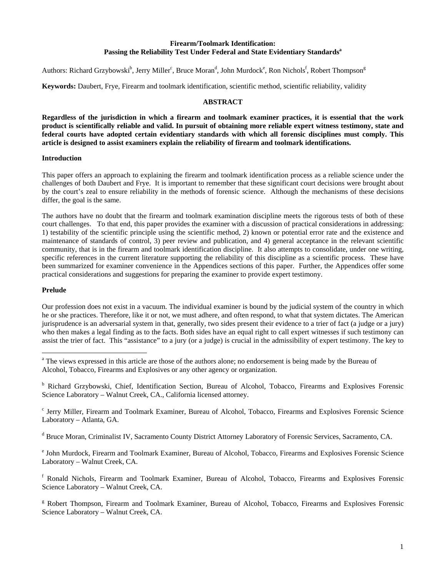### **Firearm/Toolmark Identification:**  Passing the Reliability Test Under Federal and State Evidentiary Standards<sup>a</sup>

Authors: Richard Grzybowski<sup>b</sup>, Jerry Miller<sup>c</sup>, Bruce Moran<sup>d</sup>, John Murdock<sup>e</sup>, Ron Nichols<sup>f</sup>, Robert Thompson<sup>g</sup>

**Keywords:** Daubert, Frye, Firearm and toolmark identification, scientific method, scientific reliability, validity

### **ABSTRACT**

**Regardless of the jurisdiction in which a firearm and toolmark examiner practices, it is essential that the work product is scientifically reliable and valid. In pursuit of obtaining more reliable expert witness testimony, state and federal courts have adopted certain evidentiary standards with which all forensic disciplines must comply. This article is designed to assist examiners explain the reliability of firearm and toolmark identifications.** 

### **Introduction**

This paper offers an approach to explaining the firearm and toolmark identification process as a reliable science under the challenges of both Daubert and Frye. It is important to remember that these significant court decisions were brought about by the court's zeal to ensure reliability in the methods of forensic science. Although the mechanisms of these decisions differ, the goal is the same.

The authors have no doubt that the firearm and toolmark examination discipline meets the rigorous tests of both of these court challenges. To that end, this paper provides the examiner with a discussion of practical considerations in addressing: 1) testability of the scientific principle using the scientific method, 2) known or potential error rate and the existence and maintenance of standards of control, 3) peer review and publication, and 4) general acceptance in the relevant scientific community, that is in the firearm and toolmark identification discipline. It also attempts to consolidate, under one writing, specific references in the current literature supporting the reliability of this discipline as a scientific process. These have been summarized for examiner convenience in the Appendices sections of this paper. Further, the Appendices offer some practical considerations and suggestions for preparing the examiner to provide expert testimony.

### **Prelude**

 $\overline{a}$ 

Our profession does not exist in a vacuum. The individual examiner is bound by the judicial system of the country in which he or she practices. Therefore, like it or not, we must adhere, and often respond, to what that system dictates. The American jurisprudence is an adversarial system in that, generally, two sides present their evidence to a trier of fact (a judge or a jury) who then makes a legal finding as to the facts. Both sides have an equal right to call expert witnesses if such testimony can assist the trier of fact. This "assistance" to a jury (or a judge) is crucial in the admissibility of expert testimony. The key to

c Jerry Miller, Firearm and Toolmark Examiner, Bureau of Alcohol, Tobacco, Firearms and Explosives Forensic Science Laboratory – Atlanta, GA.

d Bruce Moran, Criminalist IV, Sacramento County District Attorney Laboratory of Forensic Services, Sacramento, CA.

e John Murdock, Firearm and Toolmark Examiner, Bureau of Alcohol, Tobacco, Firearms and Explosives Forensic Science Laboratory – Walnut Creek, CA.

f Ronald Nichols, Firearm and Toolmark Examiner, Bureau of Alcohol, Tobacco, Firearms and Explosives Forensic Science Laboratory – Walnut Creek, CA.

<sup>g</sup> Robert Thompson, Firearm and Toolmark Examiner, Bureau of Alcohol, Tobacco, Firearms and Explosives Forensic Science Laboratory – Walnut Creek, CA.

<sup>&</sup>lt;sup>a</sup> The views expressed in this article are those of the authors alone; no endorsement is being made by the Bureau of Alcohol, Tobacco, Firearms and Explosives or any other agency or organization.

<sup>&</sup>lt;sup>b</sup> Richard Grzybowski, Chief, Identification Section, Bureau of Alcohol, Tobacco, Firearms and Explosives Forensic Science Laboratory – Walnut Creek, CA., California licensed attorney.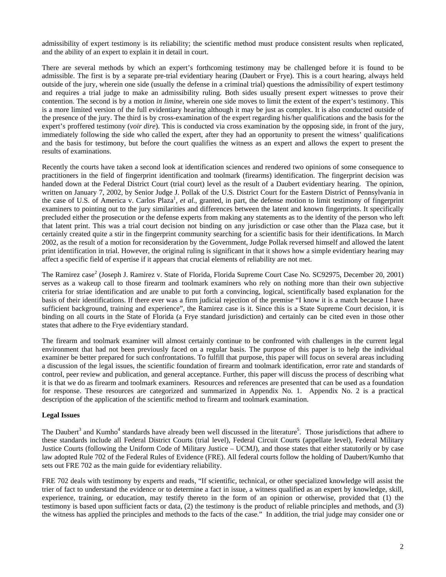admissibility of expert testimony is its reliability; the scientific method must produce consistent results when replicated, and the ability of an expert to explain it in detail in court.

There are several methods by which an expert's forthcoming testimony may be challenged before it is found to be admissible. The first is by a separate pre-trial evidentiary hearing (Daubert or Frye). This is a court hearing, always held outside of the jury, wherein one side (usually the defense in a criminal trial) questions the admissibility of expert testimony and requires a trial judge to make an admissibility ruling. Both sides usually present expert witnesses to prove their contention. The second is by a motion *in limine*, wherein one side moves to limit the extent of the expert's testimony. This is a more limited version of the full evidentiary hearing although it may be just as complex. It is also conducted outside of the presence of the jury. The third is by cross-examination of the expert regarding his/her qualifications and the basis for the expert's proffered testimony (*voir dire*). This is conducted via cross examination by the opposing side, in front of the jury, immediately following the side who called the expert, after they had an opportunity to present the witness' qualifications and the basis for testimony, but before the court qualifies the witness as an expert and allows the expert to present the results of examinations.

Recently the courts have taken a second look at identification sciences and rendered two opinions of some consequence to practitioners in the field of fingerprint identification and toolmark (firearms) identification. The fingerprint decision was handed down at the Federal District Court (trial court) level as the result of a Daubert evidentiary hearing. The opinion, written on January 7, 2002, by Senior Judge J. Pollak of the U.S. District Court for the Eastern District of Pennsylvania in the case of U.S. of America v. Carlos Plaza<sup>1</sup>, et al., granted, in part, the defense motion to limit testimony of fingerprint examiners to pointing out to the jury similarities and differences between the latent and known fingerprints. It specifically precluded either the prosecution or the defense experts from making any statements as to the identity of the person who left that latent print. This was a trial court decision not binding on any jurisdiction or case other than the Plaza case, but it certainly created quite a stir in the fingerprint community searching for a scientific basis for their identifications. In March 2002, as the result of a motion for reconsideration by the Government, Judge Pollak reversed himself and allowed the latent print identification in trial. However, the original ruling is significant in that it shows how a simple evidentiary hearing may affect a specific field of expertise if it appears that crucial elements of reliability are not met.

The Ramirez case<sup>2</sup> (Joseph J. Ramirez v. State of Florida, Florida Supreme Court Case No. SC92975, December 20, 2001) serves as a wakeup call to those firearm and toolmark examiners who rely on nothing more than their own subjective criteria for striae identification and are unable to put forth a convincing, logical, scientifically based explanation for the basis of their identifications. If there ever was a firm judicial rejection of the premise "I know it is a match because I have sufficient background, training and experience", the Ramirez case is it. Since this is a State Supreme Court decision, it is binding on all courts in the State of Florida (a Frye standard jurisdiction) and certainly can be cited even in those other states that adhere to the Frye evidentiary standard.

The firearm and toolmark examiner will almost certainly continue to be confronted with challenges in the current legal environment that had not been previously faced on a regular basis. The purpose of this paper is to help the individual examiner be better prepared for such confrontations. To fulfill that purpose, this paper will focus on several areas including a discussion of the legal issues, the scientific foundation of firearm and toolmark identification, error rate and standards of control, peer review and publication, and general acceptance. Further, this paper will discuss the process of describing what it is that we do as firearm and toolmark examiners. Resources and references are presented that can be used as a foundation for response. These resources are categorized and summarized in Appendix No. 1. Appendix No. 2 is a practical description of the application of the scientific method to firearm and toolmark examination.

## **Legal Issues**

The Daubert<sup>3</sup> and Kumho<sup>4</sup> standards have already been well discussed in the literature<sup>5</sup>. Those jurisdictions that adhere to these standards include all Federal District Courts (trial level), Federal Circuit Courts (appellate level), Federal Military Justice Courts (following the Uniform Code of Military Justice – UCMJ), and those states that either statutorily or by case law adopted Rule 702 of the Federal Rules of Evidence (FRE). All federal courts follow the holding of Daubert/Kumho that sets out FRE 702 as the main guide for evidentiary reliability.

FRE 702 deals with testimony by experts and reads, "If scientific, technical, or other specialized knowledge will assist the trier of fact to understand the evidence or to determine a fact in issue, a witness qualified as an expert by knowledge, skill, experience, training, or education, may testify thereto in the form of an opinion or otherwise, provided that (1) the testimony is based upon sufficient facts or data, (2) the testimony is the product of reliable principles and methods, and (3) the witness has applied the principles and methods to the facts of the case." In addition, the trial judge may consider one or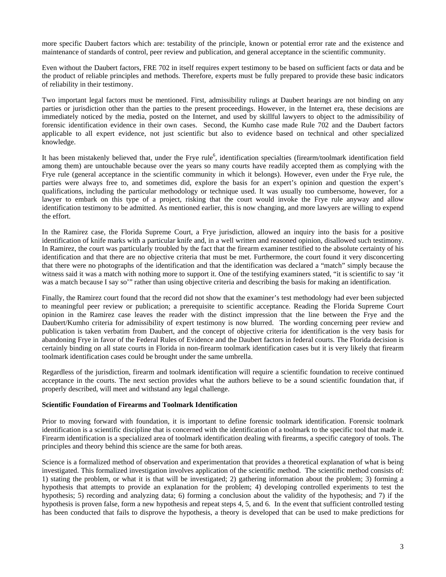more specific Daubert factors which are: testability of the principle, known or potential error rate and the existence and maintenance of standards of control, peer review and publication, and general acceptance in the scientific community.

Even without the Daubert factors, FRE 702 in itself requires expert testimony to be based on sufficient facts or data and be the product of reliable principles and methods. Therefore, experts must be fully prepared to provide these basic indicators of reliability in their testimony.

Two important legal factors must be mentioned. First, admissibility rulings at Daubert hearings are not binding on any parties or jurisdiction other than the parties to the present proceedings. However, in the Internet era, these decisions are immediately noticed by the media, posted on the Internet, and used by skillful lawyers to object to the admissibility of forensic identification evidence in their own cases. Second, the Kumho case made Rule 702 and the Daubert factors applicable to all expert evidence, not just scientific but also to evidence based on technical and other specialized knowledge.

It has been mistakenly believed that, under the Frye rule<sup>6</sup>, identification specialties (firearm/toolmark identification field among them) are untouchable because over the years so many courts have readily accepted them as complying with the Frye rule (general acceptance in the scientific community in which it belongs). However, even under the Frye rule, the parties were always free to, and sometimes did, explore the basis for an expert's opinion and question the expert's qualifications, including the particular methodology or technique used. It was usually too cumbersome, however, for a lawyer to embark on this type of a project, risking that the court would invoke the Frye rule anyway and allow identification testimony to be admitted. As mentioned earlier, this is now changing, and more lawyers are willing to expend the effort.

In the Ramirez case, the Florida Supreme Court, a Frye jurisdiction, allowed an inquiry into the basis for a positive identification of knife marks with a particular knife and, in a well written and reasoned opinion, disallowed such testimony. In Ramirez, the court was particularly troubled by the fact that the firearm examiner testified to the absolute certainty of his identification and that there are no objective criteria that must be met. Furthermore, the court found it very disconcerting that there were no photographs of the identification and that the identification was declared a "match" simply because the witness said it was a match with nothing more to support it. One of the testifying examiners stated, "it is scientific to say 'it was a match because I say so'" rather than using objective criteria and describing the basis for making an identification.

Finally, the Ramirez court found that the record did not show that the examiner's test methodology had ever been subjected to meaningful peer review or publication; a prerequisite to scientific acceptance. Reading the Florida Supreme Court opinion in the Ramirez case leaves the reader with the distinct impression that the line between the Frye and the Daubert/Kumho criteria for admissibility of expert testimony is now blurred. The wording concerning peer review and publication is taken verbatim from Daubert, and the concept of objective criteria for identification is the very basis for abandoning Frye in favor of the Federal Rules of Evidence and the Daubert factors in federal courts. The Florida decision is certainly binding on all state courts in Florida in non-firearm toolmark identification cases but it is very likely that firearm toolmark identification cases could be brought under the same umbrella.

Regardless of the jurisdiction, firearm and toolmark identification will require a scientific foundation to receive continued acceptance in the courts. The next section provides what the authors believe to be a sound scientific foundation that, if properly described, will meet and withstand any legal challenge.

## **Scientific Foundation of Firearms and Toolmark Identification**

Prior to moving forward with foundation, it is important to define forensic toolmark identification. Forensic toolmark identification is a scientific discipline that is concerned with the identification of a toolmark to the specific tool that made it. Firearm identification is a specialized area of toolmark identification dealing with firearms, a specific category of tools. The principles and theory behind this science are the same for both areas.

Science is a formalized method of observation and experimentation that provides a theoretical explanation of what is being investigated. This formalized investigation involves application of the scientific method. The scientific method consists of: 1) stating the problem, or what it is that will be investigated; 2) gathering information about the problem; 3) forming a hypothesis that attempts to provide an explanation for the problem; 4) developing controlled experiments to test the hypothesis; 5) recording and analyzing data; 6) forming a conclusion about the validity of the hypothesis; and 7) if the hypothesis is proven false, form a new hypothesis and repeat steps 4, 5, and 6. In the event that sufficient controlled testing has been conducted that fails to disprove the hypothesis, a theory is developed that can be used to make predictions for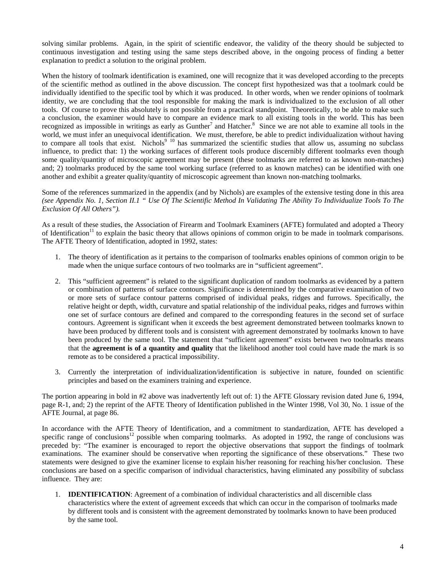solving similar problems. Again, in the spirit of scientific endeavor, the validity of the theory should be subjected to continuous investigation and testing using the same steps described above, in the ongoing process of finding a better explanation to predict a solution to the original problem.

When the history of toolmark identification is examined, one will recognize that it was developed according to the precepts of the scientific method as outlined in the above discussion. The concept first hypothesized was that a toolmark could be individually identified to the specific tool by which it was produced. In other words, when we render opinions of toolmark identity, we are concluding that the tool responsible for making the mark is individualized to the exclusion of all other tools. Of course to prove this absolutely is not possible from a practical standpoint. Theoretically, to be able to make such a conclusion, the examiner would have to compare an evidence mark to all existing tools in the world. This has been recognized as impossible in writings as early as  $Gunther<sup>7</sup>$  and Hatcher.<sup>8</sup> Since we are not able to examine all tools in the world, we must infer an unequivocal identification. We must, therefore, be able to predict individualization without having to compare all tools that exist. Nichols<sup>9 10</sup> has summarized the scientific studies that allow us, assuming no subclass influence, to predict that: 1) the working surfaces of different tools produce discernibly different toolmarks even though some quality/quantity of microscopic agreement may be present (these toolmarks are referred to as known non-matches) and; 2) toolmarks produced by the same tool working surface (referred to as known matches) can be identified with one another and exhibit a greater quality/quantity of microscopic agreement than known non-matching toolmarks.

### Some of the references summarized in the appendix (and by Nichols) are examples of the extensive testing done in this area *(see Appendix No. 1, Section II.1 " Use Of The Scientific Method In Validating The Ability To Individualize Tools To The Exclusion Of All Others").*

As a result of these studies, the Association of Firearm and Toolmark Examiners (AFTE) formulated and adopted a Theory of Identification<sup>11</sup> to explain the basic theory that allows opinions of common origin to be made in toolmark comparisons. The AFTE Theory of Identification, adopted in 1992, states:

- 1. The theory of identification as it pertains to the comparison of toolmarks enables opinions of common origin to be made when the unique surface contours of two toolmarks are in "sufficient agreement".
- 2. This "sufficient agreement" is related to the significant duplication of random toolmarks as evidenced by a pattern or combination of patterns of surface contours. Significance is determined by the comparative examination of two or more sets of surface contour patterns comprised of individual peaks, ridges and furrows. Specifically, the relative height or depth, width, curvature and spatial relationship of the individual peaks, ridges and furrows within one set of surface contours are defined and compared to the corresponding features in the second set of surface contours. Agreement is significant when it exceeds the best agreement demonstrated between toolmarks known to have been produced by different tools and is consistent with agreement demonstrated by toolmarks known to have been produced by the same tool. The statement that "sufficient agreement" exists between two toolmarks means that the **agreement is of a quantity and quality** that the likelihood another tool could have made the mark is so remote as to be considered a practical impossibility.
- 3. Currently the interpretation of individualization/identification is subjective in nature, founded on scientific principles and based on the examiners training and experience.

The portion appearing in bold in #2 above was inadvertently left out of: 1) the AFTE Glossary revision dated June 6, 1994, page R-1, and; 2) the reprint of the AFTE Theory of Identification published in the Winter 1998, Vol 30, No. 1 issue of the AFTE Journal, at page 86.

In accordance with the AFTE Theory of Identification, and a commitment to standardization, AFTE has developed a specific range of conclusions<sup>12</sup> possible when comparing toolmarks. As adopted in 1992, the range of conclusions was preceded by: "The examiner is encouraged to report the objective observations that support the findings of toolmark examinations. The examiner should be conservative when reporting the significance of these observations." These two statements were designed to give the examiner license to explain his/her reasoning for reaching his/her conclusion. These conclusions are based on a specific comparison of individual characteristics, having eliminated any possibility of subclass influence. They are:

1. **IDENTIFICATION**: Agreement of a combination of individual characteristics and all discernible class characteristics where the extent of agreement exceeds that which can occur in the comparison of toolmarks made by different tools and is consistent with the agreement demonstrated by toolmarks known to have been produced by the same tool.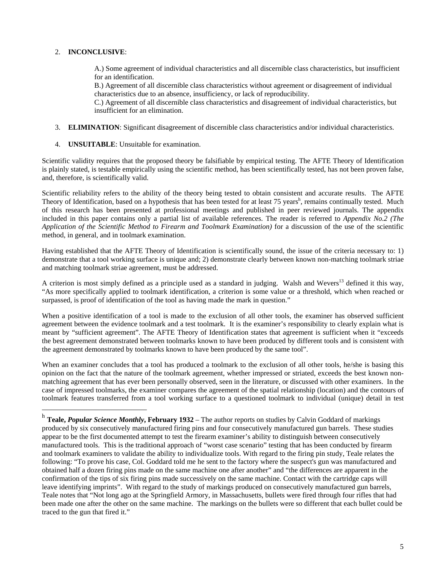# 2. **INCONCLUSIVE**:

 $\overline{a}$ 

A.) Some agreement of individual characteristics and all discernible class characteristics, but insufficient for an identification.

B.) Agreement of all discernible class characteristics without agreement or disagreement of individual characteristics due to an absence, insufficiency, or lack of reproducibility.

C.) Agreement of all discernible class characteristics and disagreement of individual characteristics, but insufficient for an elimination.

- 3. **ELIMINATION**: Significant disagreement of discernible class characteristics and/or individual characteristics.
- 4. **UNSUITABLE**: Unsuitable for examination.

Scientific validity requires that the proposed theory be falsifiable by empirical testing. The AFTE Theory of Identification is plainly stated, is testable empirically using the scientific method, has been scientifically tested, has not been proven false, and, therefore, is scientifically valid.

Scientific reliability refers to the ability of the theory being tested to obtain consistent and accurate results. The AFTE Theory of Identification, based on a hypothesis that has been tested for at least 75 years<sup>h</sup>, remains continually tested. Much of this research has been presented at professional meetings and published in peer reviewed journals. The appendix included in this paper contains only a partial list of available references. The reader is referred to *Appendix No.2 (The Application of the Scientific Method to Firearm and Toolmark Examination)* for a discussion of the use of the scientific method, in general, and in toolmark examination.

Having established that the AFTE Theory of Identification is scientifically sound, the issue of the criteria necessary to: 1) demonstrate that a tool working surface is unique and; 2) demonstrate clearly between known non-matching toolmark striae and matching toolmark striae agreement, must be addressed.

A criterion is most simply defined as a principle used as a standard in judging. Walsh and Wevers<sup>13</sup> defined it this wav, "As more specifically applied to toolmark identification, a criterion is some value or a threshold, which when reached or surpassed, is proof of identification of the tool as having made the mark in question."

When a positive identification of a tool is made to the exclusion of all other tools, the examiner has observed sufficient agreement between the evidence toolmark and a test toolmark. It is the examiner's responsibility to clearly explain what is meant by "sufficient agreement". The AFTE Theory of Identification states that agreement is sufficient when it "exceeds the best agreement demonstrated between toolmarks known to have been produced by different tools and is consistent with the agreement demonstrated by toolmarks known to have been produced by the same tool".

When an examiner concludes that a tool has produced a toolmark to the exclusion of all other tools, he/she is basing this opinion on the fact that the nature of the toolmark agreement, whether impressed or striated, exceeds the best known nonmatching agreement that has ever been personally observed, seen in the literature, or discussed with other examiners. In the case of impressed toolmarks, the examiner compares the agreement of the spatial relationship (location) and the contours of toolmark features transferred from a tool working surface to a questioned toolmark to individual (unique) detail in test

<sup>h</sup> **Teale,** *Popular Science Monthly***, February 1932** – The author reports on studies by Calvin Goddard of markings produced by six consecutively manufactured firing pins and four consecutively manufactured gun barrels. These studies appear to be the first documented attempt to test the firearm examiner's ability to distinguish between consecutively manufactured tools. This is the traditional approach of "worst case scenario" testing that has been conducted by firearm and toolmark examiners to validate the ability to individualize tools. With regard to the firing pin study, Teale relates the following: "To prove his case, Col. Goddard told me he sent to the factory where the suspect's gun was manufactured and obtained half a dozen firing pins made on the same machine one after another" and "the differences are apparent in the confirmation of the tips of six firing pins made successively on the same machine. Contact with the cartridge caps will leave identifying imprints". With regard to the study of markings produced on consecutively manufactured gun barrels, Teale notes that "Not long ago at the Springfield Armory, in Massachusetts, bullets were fired through four rifles that had been made one after the other on the same machine. The markings on the bullets were so different that each bullet could be traced to the gun that fired it."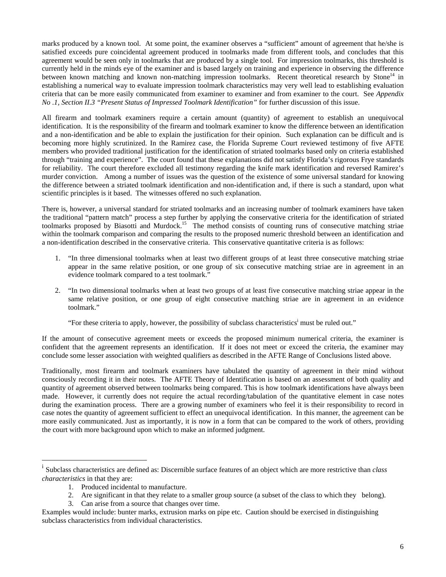marks produced by a known tool. At some point, the examiner observes a "sufficient" amount of agreement that he/she is satisfied exceeds pure coincidental agreement produced in toolmarks made from different tools, and concludes that this agreement would be seen only in toolmarks that are produced by a single tool. For impression toolmarks, this threshold is currently held in the minds eye of the examiner and is based largely on training and experience in observing the difference between known matching and known non-matching impression toolmarks. Recent theoretical research by Stone<sup>14</sup> in establishing a numerical way to evaluate impression toolmark characteristics may very well lead to establishing evaluation criteria that can be more easily communicated from examiner to examiner and from examiner to the court. See *Appendix No .1, Section II.3 "Present Status of Impressed Toolmark Identification"* for further discussion of this issue.

All firearm and toolmark examiners require a certain amount (quantity) of agreement to establish an unequivocal identification. It is the responsibility of the firearm and toolmark examiner to know the difference between an identification and a non-identification and be able to explain the justification for their opinion. Such explanation can be difficult and is becoming more highly scrutinized. In the Ramirez case, the Florida Supreme Court reviewed testimony of five AFTE members who provided traditional justification for the identification of striated toolmarks based only on criteria established through "training and experience". The court found that these explanations did not satisfy Florida's rigorous Frye standards for reliability. The court therefore excluded all testimony regarding the knife mark identification and reversed Ramirez's murder conviction. Among a number of issues was the question of the existence of some universal standard for knowing the difference between a striated toolmark identification and non-identification and, if there is such a standard, upon what scientific principles is it based. The witnesses offered no such explanation.

There is, however, a universal standard for striated toolmarks and an increasing number of toolmark examiners have taken the traditional "pattern match" process a step further by applying the conservative criteria for the identification of striated toolmarks proposed by Biasotti and Murdock.<sup>15</sup> The method consists of counting runs of consecutive matching striae within the toolmark comparison and comparing the results to the proposed numeric threshold between an identification and a non-identification described in the conservative criteria. This conservative quantitative criteria is as follows:

- 1. "In three dimensional toolmarks when at least two different groups of at least three consecutive matching striae appear in the same relative position, or one group of six consecutive matching striae are in agreement in an evidence toolmark compared to a test toolmark."
- 2. "In two dimensional toolmarks when at least two groups of at least five consecutive matching striae appear in the same relative position, or one group of eight consecutive matching striae are in agreement in an evidence toolmark."

"For these criteria to apply, however, the possibility of subclass characteristics<sup>i</sup> must be ruled out."

If the amount of consecutive agreement meets or exceeds the proposed minimum numerical criteria, the examiner is confident that the agreement represents an identification. If it does not meet or exceed the criteria, the examiner may conclude some lesser association with weighted qualifiers as described in the AFTE Range of Conclusions listed above.

Traditionally, most firearm and toolmark examiners have tabulated the quantity of agreement in their mind without consciously recording it in their notes. The AFTE Theory of Identification is based on an assessment of both quality and quantity of agreement observed between toolmarks being compared. This is how toolmark identifications have always been made. However, it currently does not require the actual recording/tabulation of the quantitative element in case notes during the examination process. There are a growing number of examiners who feel it is their responsibility to record in case notes the quantity of agreement sufficient to effect an unequivocal identification. In this manner, the agreement can be more easily communicated. Just as importantly, it is now in a form that can be compared to the work of others, providing the court with more background upon which to make an informed judgment.

 $\overline{a}$ 

i Subclass characteristics are defined as: Discernible surface features of an object which are more restrictive than *class characteristics* in that they are:

<sup>1.</sup> Produced incidental to manufacture.

<sup>2.</sup> Are significant in that they relate to a smaller group source (a subset of the class to which they belong).

<sup>3.</sup> Can arise from a source that changes over time.

Examples would include: bunter marks, extrusion marks on pipe etc. Caution should be exercised in distinguishing subclass characteristics from individual characteristics.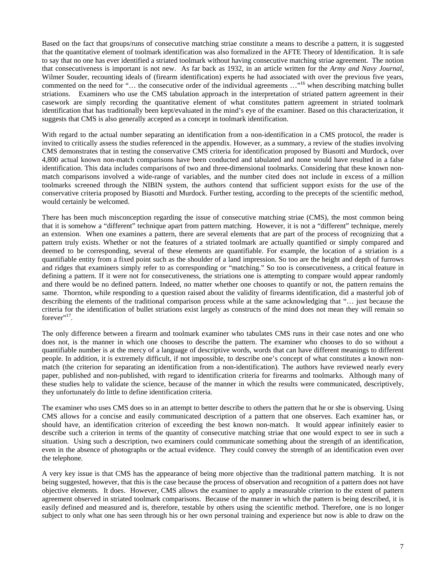Based on the fact that groups/runs of consecutive matching striae constitute a means to describe a pattern, it is suggested that the quantitative element of toolmark identification was also formalized in the AFTE Theory of Identification. It is safe to say that no one has ever identified a striated toolmark without having consecutive matching striae agreement. The notion that consecutiveness is important is not new. As far back as 1932, in an article written for the *Army and Navy Journal*, Wilmer Souder, recounting ideals of (firearm identification) experts he had associated with over the previous five years, commented on the need for "… the consecutive order of the individual agreements …"16 when describing matching bullet striations. Examiners who use the CMS tabulation approach in the interpretation of striated pattern agreement in their casework are simply recording the quantitative element of what constitutes pattern agreement in striated toolmark identification that has traditionally been kept/evaluated in the mind's eye of the examiner. Based on this characterization, it suggests that CMS is also generally accepted as a concept in toolmark identification.

With regard to the actual number separating an identification from a non-identification in a CMS protocol, the reader is invited to critically assess the studies referenced in the appendix. However, as a summary, a review of the studies involving CMS demonstrates that in testing the conservative CMS criteria for identification proposed by Biasotti and Murdock, over 4,800 actual known non-match comparisons have been conducted and tabulated and none would have resulted in a false identification. This data includes comparisons of two and three-dimensional toolmarks. Considering that these known nonmatch comparisons involved a wide-range of variables, and the number cited does not include in excess of a million toolmarks screened through the NIBIN system, the authors contend that sufficient support exists for the use of the conservative criteria proposed by Biasotti and Murdock. Further testing, according to the precepts of the scientific method, would certainly be welcomed.

There has been much misconception regarding the issue of consecutive matching striae (CMS), the most common being that it is somehow a "different" technique apart from pattern matching. However, it is not a "different" technique, merely an extension. When one examines a pattern, there are several elements that are part of the process of recognizing that a pattern truly exists. Whether or not the features of a striated toolmark are actually quantified or simply compared and deemed to be corresponding, several of these elements are quantifiable. For example, the location of a striation is a quantifiable entity from a fixed point such as the shoulder of a land impression. So too are the height and depth of furrows and ridges that examiners simply refer to as corresponding or "matching." So too is consecutiveness, a critical feature in defining a pattern. If it were not for consecutiveness, the striations one is attempting to compare would appear randomly and there would be no defined pattern. Indeed, no matter whether one chooses to quantify or not, the pattern remains the same. Thornton, while responding to a question raised about the validity of firearms identification, did a masterful job of describing the elements of the traditional comparison process while at the same acknowledging that "… just because the criteria for the identification of bullet striations exist largely as constructs of the mind does not mean they will remain so forever".<sup>17</sup>.

The only difference between a firearm and toolmark examiner who tabulates CMS runs in their case notes and one who does not, is the manner in which one chooses to describe the pattern. The examiner who chooses to do so without a quantifiable number is at the mercy of a language of descriptive words, words that can have different meanings to different people. In addition, it is extremely difficult, if not impossible, to describe one's concept of what constitutes a known nonmatch (the criterion for separating an identification from a non-identification). The authors have reviewed nearly every paper, published and non-published, with regard to identification criteria for firearms and toolmarks. Although many of these studies help to validate the science, because of the manner in which the results were communicated, descriptively, they unfortunately do little to define identification criteria.

The examiner who uses CMS does so in an attempt to better describe to others the pattern that he or she is observing. Using CMS allows for a concise and easily communicated description of a pattern that one observes. Each examiner has, or should have, an identification criterion of exceeding the best known non-match. It would appear infinitely easier to describe such a criterion in terms of the quantity of consecutive matching striae that one would expect to see in such a situation. Using such a description, two examiners could communicate something about the strength of an identification, even in the absence of photographs or the actual evidence. They could convey the strength of an identification even over the telephone.

A very key issue is that CMS has the appearance of being more objective than the traditional pattern matching. It is not being suggested, however, that this is the case because the process of observation and recognition of a pattern does not have objective elements. It does. However, CMS allows the examiner to apply a measurable criterion to the extent of pattern agreement observed in striated toolmark comparisons. Because of the manner in which the pattern is being described, it is easily defined and measured and is, therefore, testable by others using the scientific method. Therefore, one is no longer subject to only what one has seen through his or her own personal training and experience but now is able to draw on the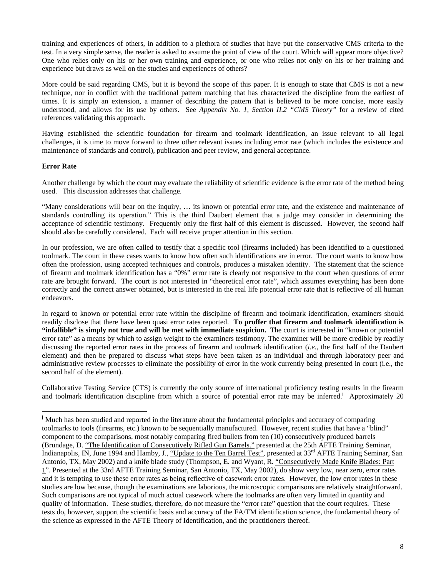training and experiences of others, in addition to a plethora of studies that have put the conservative CMS criteria to the test. In a very simple sense, the reader is asked to assume the point of view of the court. Which will appear more objective? One who relies only on his or her own training and experience, or one who relies not only on his or her training and experience but draws as well on the studies and experiences of others?

More could be said regarding CMS, but it is beyond the scope of this paper. It is enough to state that CMS is not a new technique, nor in conflict with the traditional pattern matching that has characterized the discipline from the earliest of times. It is simply an extension, a manner of describing the pattern that is believed to be more concise, more easily understood, and allows for its use by others. See *Appendix No. 1, Section II.2 "CMS Theory"* for a review of cited references validating this approach.

Having established the scientific foundation for firearm and toolmark identification, an issue relevant to all legal challenges, it is time to move forward to three other relevant issues including error rate (which includes the existence and maintenance of standards and control), publication and peer review, and general acceptance.

## **Error Rate**

 $\overline{a}$ 

Another challenge by which the court may evaluate the reliability of scientific evidence is the error rate of the method being used. This discussion addresses that challenge.

"Many considerations will bear on the inquiry, … its known or potential error rate, and the existence and maintenance of standards controlling its operation." This is the third Daubert element that a judge may consider in determining the acceptance of scientific testimony. Frequently only the first half of this element is discussed. However, the second half should also be carefully considered. Each will receive proper attention in this section.

In our profession, we are often called to testify that a specific tool (firearms included) has been identified to a questioned toolmark. The court in these cases wants to know how often such identifications are in error. The court wants to know how often the profession, using accepted techniques and controls, produces a mistaken identity. The statement that the science of firearm and toolmark identification has a "0%" error rate is clearly not responsive to the court when questions of error rate are brought forward. The court is not interested in "theoretical error rate", which assumes everything has been done correctly and the correct answer obtained, but is interested in the real life potential error rate that is reflective of all human endeavors.

In regard to known or potential error rate within the discipline of firearm and toolmark identification, examiners should readily disclose that there have been quasi error rates reported. **To proffer that firearm and toolmark identification is "infallible" is simply not true and will be met with immediate suspicion.** The court is interested in "known or potential error rate" as a means by which to assign weight to the examiners testimony. The examiner will be more credible by readily discussing the reported error rates in the process of firearm and toolmark identification (*i.e.*, the first half of the Daubert element) and then be prepared to discuss what steps have been taken as an individual and through laboratory peer and administrative review processes to eliminate the possibility of error in the work currently being presented in court (i.e., the second half of the element).

Collaborative Testing Service (CTS) is currently the only source of international proficiency testing results in the firearm and toolmark identification discipline from which a source of potential error rate may be inferred.<sup>j</sup> Approximately 20

**j** Much has been studied and reported in the literature about the fundamental principles and accuracy of comparing toolmarks to tools (firearms, etc.) known to be sequentially manufactured. However, recent studies that have a "blind" component to the comparisons, most notably comparing fired bullets from ten (10) consecutively produced barrels (Brundage, D. "The Identification of Consecutively Rifled Gun Barrels." presented at the 25th AFTE Training Seminar, Indianapolis, IN, June 1994 and Hamby, J., "Update to the Ten Barrel Test", presented at 33<sup>rd</sup> AFTE Training Seminar, San Antonio, TX, May 2002) and a knife blade study (Thompson, E. and Wyant, R. "Consecutively Made Knife Blades: Part 1". Presented at the 33rd AFTE Training Seminar, San Antonio, TX, May 2002), do show very low, near zero, error rates and it is tempting to use these error rates as being reflective of casework error rates. However, the low error rates in these studies are low because, though the examinations are laborious, the microscopic comparisons are relatively straightforward. Such comparisons are not typical of much actual casework where the toolmarks are often very limited in quantity and quality of information. These studies, therefore, do not measure the "error rate" question that the court requires. These tests do, however, support the scientific basis and accuracy of the FA/TM identification science, the fundamental theory of the science as expressed in the AFTE Theory of Identification, and the practitioners thereof.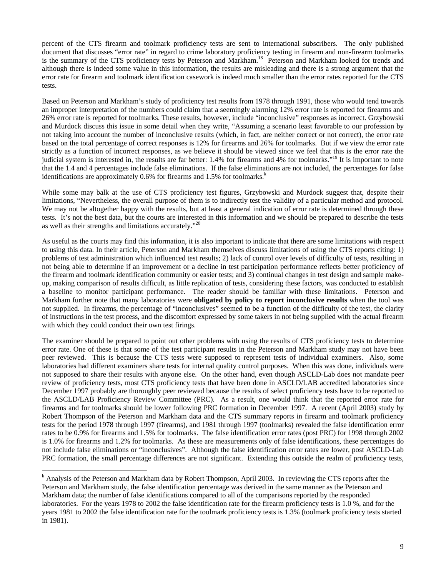percent of the CTS firearm and toolmark proficiency tests are sent to international subscribers. The only published document that discusses "error rate" in regard to crime laboratory proficiency testing in firearm and non-firearm toolmarks is the summary of the CTS proficiency tests by Peterson and Markham.<sup>18</sup> Peterson and Markham looked for trends and although there is indeed some value in this information, the results are misleading and there is a strong argument that the error rate for firearm and toolmark identification casework is indeed much smaller than the error rates reported for the CTS tests.

Based on Peterson and Markham's study of proficiency test results from 1978 through 1991, those who would tend towards an improper interpretation of the numbers could claim that a seemingly alarming 12% error rate is reported for firearms and 26% error rate is reported for toolmarks. These results, however, include "inconclusive" responses as incorrect. Grzybowski and Murdock discuss this issue in some detail when they write, "Assuming a scenario least favorable to our profession by not taking into account the number of inconclusive results (which, in fact, are neither correct or not correct), the error rate based on the total percentage of correct responses is 12% for firearms and 26% for toolmarks. But if we view the error rate strictly as a function of incorrect responses, as we believe it should be viewed since we feel that this is the error rate the judicial system is interested in, the results are far better: 1.4% for firearms and 4% for toolmarks."19 It is important to note that the 1.4 and 4 percentages include false eliminations. If the false eliminations are not included, the percentages for false identifications are approximately  $0.6\%$  for firearms and 1.5% for toolmarks.<sup>k</sup>

While some may balk at the use of CTS proficiency test figures, Grzybowski and Murdock suggest that, despite their limitations, "Nevertheless, the overall purpose of them is to indirectly test the validity of a particular method and protocol. We may not be altogether happy with the results, but at least a general indication of error rate is determined through these tests. It's not the best data, but the courts are interested in this information and we should be prepared to describe the tests as well as their strengths and limitations accurately."20

As useful as the courts may find this information, it is also important to indicate that there are some limitations with respect to using this data. In their article, Peterson and Markham themselves discuss limitations of using the CTS reports citing: 1) problems of test administration which influenced test results; 2) lack of control over levels of difficulty of tests, resulting in not being able to determine if an improvement or a decline in test participation performance reflects better proficiency of the firearm and toolmark identification community or easier tests; and 3) continual changes in test design and sample makeup, making comparison of results difficult, as little replication of tests, considering these factors, was conducted to establish a baseline to monitor participant performance. The reader should be familiar with these limitations. Peterson and Markham further note that many laboratories were **obligated by policy to report inconclusive results** when the tool was not supplied. In firearms, the percentage of "inconclusives" seemed to be a function of the difficulty of the test, the clarity of instructions in the test process, and the discomfort expressed by some takers in not being supplied with the actual firearm with which they could conduct their own test firings.

The examiner should be prepared to point out other problems with using the results of CTS proficiency tests to determine error rate. One of these is that some of the test participant results in the Peterson and Markham study may not have been peer reviewed. This is because the CTS tests were supposed to represent tests of individual examiners. Also, some laboratories had different examiners share tests for internal quality control purposes. When this was done, individuals were not supposed to share their results with anyone else. On the other hand, even though ASCLD-Lab does not mandate peer review of proficiency tests, most CTS proficiency tests that have been done in ASCLD/LAB accredited laboratories since December 1997 probably are thoroughly peer reviewed because the results of select proficiency tests have to be reported to the ASCLD/LAB Proficiency Review Committee (PRC). As a result, one would think that the reported error rate for firearms and for toolmarks should be lower following PRC formation in December 1997. A recent (April 2003) study by Robert Thompson of the Peterson and Markham data and the CTS summary reports in firearm and toolmark proficiency tests for the period 1978 through 1997 (firearms), and 1981 through 1997 (toolmarks) revealed the false identification error rates to be 0.9% for firearms and 1.5% for toolmarks. The false identification error rates (post PRC) for 1998 through 2002 is 1.0% for firearms and 1.2% for toolmarks. As these are measurements only of false identifications, these percentages do not include false eliminations or "inconclusives". Although the false identification error rates are lower, post ASCLD-Lab PRC formation, the small percentage differences are not significant. Extending this outside the realm of proficiency tests,

 $\overline{a}$ 

<sup>&</sup>lt;sup>k</sup> Analysis of the Peterson and Markham data by Robert Thompson, April 2003. In reviewing the CTS reports after the Peterson and Markham study, the false identification percentage was derived in the same manner as the Peterson and Markham data; the number of false identifications compared to all of the comparisons reported by the responded laboratories. For the years 1978 to 2002 the false identification rate for the firearm proficiency tests is 1.0 %, and for the years 1981 to 2002 the false identification rate for the toolmark proficiency tests is 1.3% (toolmark proficiency tests started in 1981).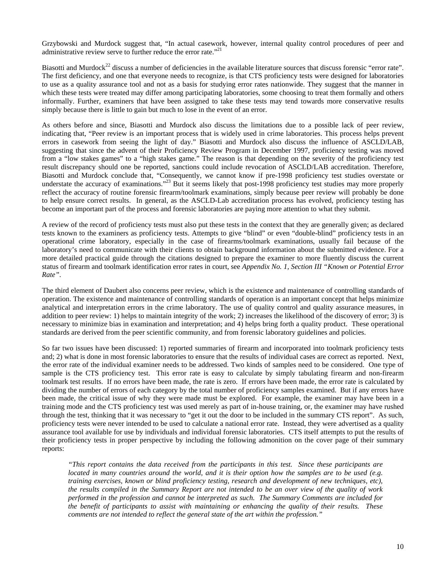Grzybowski and Murdock suggest that, "In actual casework, however, internal quality control procedures of peer and administrative review serve to further reduce the error rate. $"^{21}$ 

Biasotti and Murdock<sup>22</sup> discuss a number of deficiencies in the available literature sources that discuss forensic "error rate". The first deficiency, and one that everyone needs to recognize, is that CTS proficiency tests were designed for laboratories to use as a quality assurance tool and not as a basis for studying error rates nationwide. They suggest that the manner in which these tests were treated may differ among participating laboratories, some choosing to treat them formally and others informally. Further, examiners that have been assigned to take these tests may tend towards more conservative results simply because there is little to gain but much to lose in the event of an error.

As others before and since, Biasotti and Murdock also discuss the limitations due to a possible lack of peer review, indicating that, "Peer review is an important process that is widely used in crime laboratories. This process helps prevent errors in casework from seeing the light of day." Biasotti and Murdock also discuss the influence of ASCLD/LAB, suggesting that since the advent of their Proficiency Review Program in December 1997, proficiency testing was moved from a "low stakes games" to a "high stakes game." The reason is that depending on the severity of the proficiency test result discrepancy should one be reported, sanctions could include revocation of ASCLD/LAB accreditation. Therefore, Biasotti and Murdock conclude that, "Consequently, we cannot know if pre-1998 proficiency test studies overstate or understate the accuracy of examinations."<sup>23</sup> But it seems likely that post-1998 proficiency test studies may more properly reflect the accuracy of routine forensic firearm/toolmark examinations, simply because peer review will probably be done to help ensure correct results. In general, as the ASCLD-Lab accreditation process has evolved, proficiency testing has become an important part of the process and forensic laboratories are paying more attention to what they submit.

A review of the record of proficiency tests must also put these tests in the context that they are generally given; as declared tests known to the examiners as proficiency tests. Attempts to give "blind" or even "double-blind" proficiency tests in an operational crime laboratory, especially in the case of firearms/toolmark examinations, usually fail because of the laboratory's need to communicate with their clients to obtain background information about the submitted evidence. For a more detailed practical guide through the citations designed to prepare the examiner to more fluently discuss the current status of firearm and toolmark identification error rates in court, see *Appendix No. 1, Section III "Known or Potential Error Rate"*.

The third element of Daubert also concerns peer review, which is the existence and maintenance of controlling standards of operation. The existence and maintenance of controlling standards of operation is an important concept that helps minimize analytical and interpretation errors in the crime laboratory. The use of quality control and quality assurance measures, in addition to peer review: 1) helps to maintain integrity of the work; 2) increases the likelihood of the discovery of error; 3) is necessary to minimize bias in examination and interpretation; and 4) helps bring forth a quality product. These operational standards are derived from the peer scientific community, and from forensic laboratory guidelines and policies.

So far two issues have been discussed: 1) reported summaries of firearm and incorporated into toolmark proficiency tests and; 2) what is done in most forensic laboratories to ensure that the results of individual cases are correct as reported. Next, the error rate of the individual examiner needs to be addressed. Two kinds of samples need to be considered. One type of sample is the CTS proficiency test. This error rate is easy to calculate by simply tabulating firearm and non-firearm toolmark test results. If no errors have been made, the rate is zero. If errors have been made, the error rate is calculated by dividing the number of errors of each category by the total number of proficiency samples examined. But if any errors have been made, the critical issue of why they were made must be explored. For example, the examiner may have been in a training mode and the CTS proficiency test was used merely as part of in-house training, or, the examiner may have rushed through the test, thinking that it was necessary to "get it out the door to be included in the summary CTS report". As such, proficiency tests were never intended to be used to calculate a national error rate. Instead, they were advertised as a quality assurance tool available for use by individuals and individual forensic laboratories. CTS itself attempts to put the results of their proficiency tests in proper perspective by including the following admonition on the cover page of their summary reports:

*"This report contains the data received from the participants in this test. Since these participants are located in many countries around the world, and it is their option how the samples are to be used (e.g. training exercises, known or blind proficiency testing, research and development of new techniques, etc), the results compiled in the Summary Report are not intended to be an over view of the quality of work performed in the profession and cannot be interpreted as such. The Summary Comments are included for the benefit of participants to assist with maintaining or enhancing the quality of their results. These comments are not intended to reflect the general state of the art within the profession."*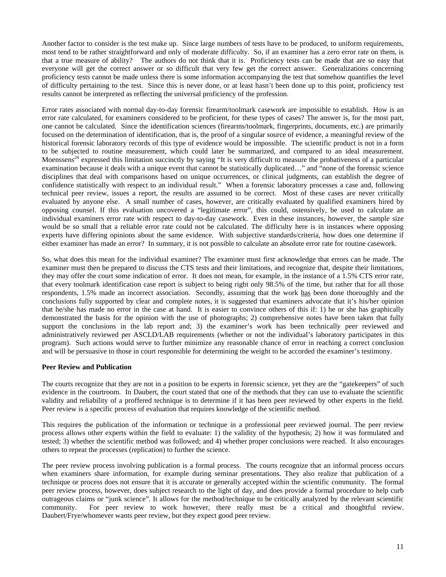Another factor to consider is the test make up. Since large numbers of tests have to be produced, to uniform requirements, most tend to be rather straightforward and only of moderate difficulty. So, if an examiner has a zero error rate on them, is that a true measure of ability? The authors do not think that it is. Proficiency tests can be made that are so easy that everyone will get the correct answer or so difficult that very few get the correct answer. Generalizations concerning proficiency tests cannot be made unless there is some information accompanying the test that somehow quantifies the level of difficulty pertaining to the test. Since this is never done, or at least hasn't been done up to this point, proficiency test results cannot be interpreted as reflecting the universal proficiency of the profession.

Error rates associated with normal day-to-day forensic firearm/toolmark casework are impossible to establish. How is an error rate calculated, for examiners considered to be proficient, for these types of cases? The answer is, for the most part, one cannot be calculated. Since the identification sciences (firearms/toolmark, fingerprints, documents, etc.) are primarily focused on the determination of identification, that is, the proof of a singular source of evidence, a meaningful review of the historical forensic laboratory records of this type of evidence would be impossible. The scientific product is not in a form to be subjected to routine measurement, which could later be summarized, and compared to an ideal measurement. Moenssens<sup>24</sup> expressed this limitation succinctly by saying "It is very difficult to measure the probativeness of a particular examination because it deals with a unique event that cannot be statistically duplicated…" and "none of the forensic science disciplines that deal with comparisons based on unique occurrences, or clinical judgments, can establish the degree of confidence statistically with respect to an individual result." When a forensic laboratory processes a case and, following technical peer review, issues a report, the results are assumed to be correct. Most of these cases are never critically evaluated by anyone else. A small number of cases, however, are critically evaluated by qualified examiners hired by opposing counsel. If this evaluation uncovered a "legitimate error", this could, ostensively, be used to calculate an individual examiners error rate with respect to day-to-day casework. Even in these instances, however, the sample size would be so small that a reliable error rate could not be calculated. The difficulty here is in instances where opposing experts have differing opinions about the same evidence. With subjective standards/criteria, how does one determine if either examiner has made an error? In summary, it is not possible to calculate an absolute error rate for routine casework.

So, what does this mean for the individual examiner? The examiner must first acknowledge that errors can be made. The examiner must then be prepared to discuss the CTS tests and their limitations, and recognize that, despite their limitations, they may offer the court some indication of error. It does not mean, for example, in the instance of a 1.5% CTS error rate, that every toolmark identification case report is subject to being right only 98.5% of the time, but rather that for all those respondents, 1.5% made an incorrect association. Secondly, assuming that the work has been done thoroughly and the conclusions fully supported by clear and complete notes, it is suggested that examiners advocate that it's his/her opinion that he/she has made no error in the case at hand. It is easier to convince others of this if: 1) he or she has graphically demonstrated the basis for the opinion with the use of photographs; 2) comprehensive notes have been taken that fully support the conclusions in the lab report and; 3) the examiner's work has been technically peer reviewed and administratively reviewed per ASCLD/LAB requirements (whether or not the individual's laboratory participates in this program). Such actions would serve to further minimize any reasonable chance of error in reaching a correct conclusion and will be persuasive to those in court responsible for determining the weight to be accorded the examiner's testimony.

## **Peer Review and Publication**

The courts recognize that they are not in a position to be experts in forensic science, yet they are the "gatekeepers" of such evidence in the courtroom. In Daubert, the court stated that one of the methods that they can use to evaluate the scientific validity and reliability of a proffered technique is to determine if it has been peer reviewed by other experts in the field. Peer review is a specific process of evaluation that requires knowledge of the scientific method.

This requires the publication of the information or technique in a professional peer reviewed journal. The peer review process allows other experts within the field to evaluate: 1) the validity of the hypothesis; 2) how it was formulated and tested; 3) whether the scientific method was followed; and 4) whether proper conclusions were reached. It also encourages others to repeat the processes (replication) to further the science.

The peer review process involving publication is a formal process. The courts recognize that an informal process occurs when examiners share information, for example during seminar presentations. They also realize that publication of a technique or process does not ensure that it is accurate or generally accepted within the scientific community. The formal peer review process, however, does subject research to the light of day, and does provide a formal procedure to help curb outrageous claims or "junk science". It allows for the method/technique to be critically analyzed by the relevant scientific community. For peer review to work however, there really must be a critical and thoughtful review. Daubert/Frye/whomever wants peer review, but they expect good peer review.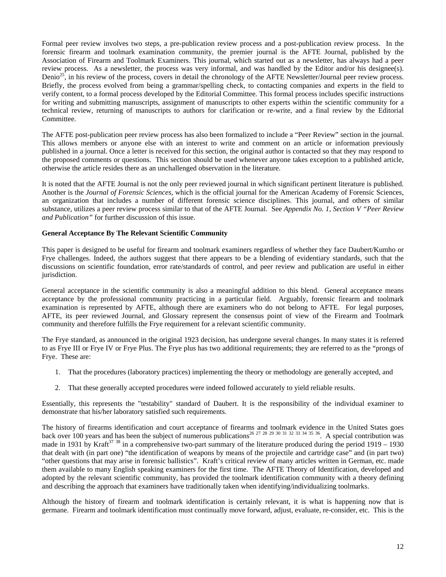Formal peer review involves two steps, a pre-publication review process and a post-publication review process. In the forensic firearm and toolmark examination community, the premier journal is the AFTE Journal, published by the Association of Firearm and Toolmark Examiners. This journal, which started out as a newsletter, has always had a peer review process. As a newsletter, the process was very informal, and was handled by the Editor and/or his designee(s). Denio<sup>25</sup>, in his review of the process, covers in detail the chronology of the AFTE Newsletter/Journal peer review process. Briefly, the process evolved from being a grammar/spelling check, to contacting companies and experts in the field to verify content, to a formal process developed by the Editorial Committee. This formal process includes specific instructions for writing and submitting manuscripts, assignment of manuscripts to other experts within the scientific community for a technical review, returning of manuscripts to authors for clarification or re-write, and a final review by the Editorial Committee.

The AFTE post-publication peer review process has also been formalized to include a "Peer Review" section in the journal. This allows members or anyone else with an interest to write and comment on an article or information previously published in a journal. Once a letter is received for this section, the original author is contacted so that they may respond to the proposed comments or questions. This section should be used whenever anyone takes exception to a published article, otherwise the article resides there as an unchallenged observation in the literature.

It is noted that the AFTE Journal is not the only peer reviewed journal in which significant pertinent literature is published. Another is the *Journal of Forensic Sciences*, which is the official journal for the American Academy of Forensic Sciences, an organization that includes a number of different forensic science disciplines. This journal, and others of similar substance, utilizes a peer review process similar to that of the AFTE Journal. See *Appendix No. 1, Section V "Peer Review and Publication"* for further discussion of this issue.

### **General Acceptance By The Relevant Scientific Community**

This paper is designed to be useful for firearm and toolmark examiners regardless of whether they face Daubert/Kumho or Frye challenges. Indeed, the authors suggest that there appears to be a blending of evidentiary standards, such that the discussions on scientific foundation, error rate/standards of control, and peer review and publication are useful in either jurisdiction.

General acceptance in the scientific community is also a meaningful addition to this blend. General acceptance means acceptance by the professional community practicing in a particular field. Arguably, forensic firearm and toolmark examination is represented by AFTE, although there are examiners who do not belong to AFTE. For legal purposes, AFTE, its peer reviewed Journal, and Glossary represent the consensus point of view of the Firearm and Toolmark community and therefore fulfills the Frye requirement for a relevant scientific community.

The Frye standard, as announced in the original 1923 decision, has undergone several changes. In many states it is referred to as Frye III or Frye IV or Frye Plus. The Frye plus has two additional requirements; they are referred to as the "prongs of Frye. These are:

- 1. That the procedures (laboratory practices) implementing the theory or methodology are generally accepted, and
- 2. That these generally accepted procedures were indeed followed accurately to yield reliable results.

Essentially, this represents the "testability" standard of Daubert. It is the responsibility of the individual examiner to demonstrate that his/her laboratory satisfied such requirements.

The history of firearms identification and court acceptance of firearms and toolmark evidence in the United States goes back over 100 years and has been the subject of numerous publications<sup>26 27 28 29 30 31 32 33 34 35 36</sup>. A special contribution was made in 1931 by Kraft<sup>37 38</sup> in a comprehensive two-part summary of the literature produced during the period  $1919 - 1930$ that dealt with (in part one) "the identification of weapons by means of the projectile and cartridge case" and (in part two) "other questions that may arise in forensic ballistics". Kraft's critical review of many articles written in German, etc. made them available to many English speaking examiners for the first time. The AFTE Theory of Identification, developed and adopted by the relevant scientific community, has provided the toolmark identification community with a theory defining and describing the approach that examiners have traditionally taken when identifying/individualizing toolmarks.

Although the history of firearm and toolmark identification is certainly relevant, it is what is happening now that is germane. Firearm and toolmark identification must continually move forward, adjust, evaluate, re-consider, etc. This is the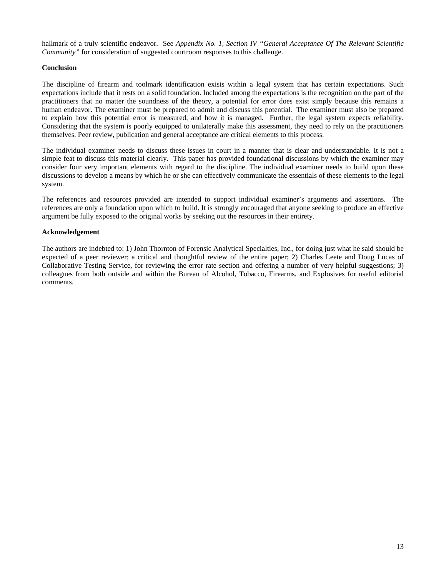hallmark of a truly scientific endeavor. See *Appendix No. 1, Section IV "General Acceptance Of The Relevant Scientific Community"* for consideration of suggested courtroom responses to this challenge.

# **Conclusion**

The discipline of firearm and toolmark identification exists within a legal system that has certain expectations. Such expectations include that it rests on a solid foundation. Included among the expectations is the recognition on the part of the practitioners that no matter the soundness of the theory, a potential for error does exist simply because this remains a human endeavor. The examiner must be prepared to admit and discuss this potential. The examiner must also be prepared to explain how this potential error is measured, and how it is managed. Further, the legal system expects reliability. Considering that the system is poorly equipped to unilaterally make this assessment, they need to rely on the practitioners themselves. Peer review, publication and general acceptance are critical elements to this process.

The individual examiner needs to discuss these issues in court in a manner that is clear and understandable. It is not a simple feat to discuss this material clearly. This paper has provided foundational discussions by which the examiner may consider four very important elements with regard to the discipline. The individual examiner needs to build upon these discussions to develop a means by which he or she can effectively communicate the essentials of these elements to the legal system.

The references and resources provided are intended to support individual examiner's arguments and assertions. The references are only a foundation upon which to build. It is strongly encouraged that anyone seeking to produce an effective argument be fully exposed to the original works by seeking out the resources in their entirety.

## **Acknowledgement**

The authors are indebted to: 1) John Thornton of Forensic Analytical Specialties, Inc., for doing just what he said should be expected of a peer reviewer; a critical and thoughtful review of the entire paper; 2) Charles Leete and Doug Lucas of Collaborative Testing Service, for reviewing the error rate section and offering a number of very helpful suggestions; 3) colleagues from both outside and within the Bureau of Alcohol, Tobacco, Firearms, and Explosives for useful editorial comments.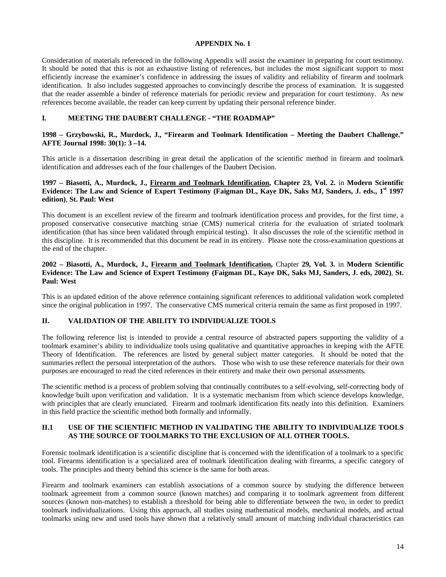### **APPENDIX No. 1**

Consideration of materials referenced in the following Appendix will assist the examiner in preparing for court testimony. It should be noted that this is not an exhaustive listing of references, but includes the most significant support to most efficiently increase the examiner's confidence in addressing the issues of validity and reliability of firearm and toolmark identification. It also includes suggested approaches to convincingly describe the process of examination. It is suggested that the reader assemble a binder of reference materials for periodic review and preparation for court testimony. As new references become available, the reader can keep current by updating their personal reference binder.

## **I. MEETING THE DAUBERT CHALLENGE - "THE ROADMAP"**

### **1998 – Grzybowski, R., Murdock, J., "Firearm and Toolmark Identification – Meeting the Daubert Challenge." AFTE Journal 1998: 30(1): 3 –14.**

This article is a dissertation describing in great detail the application of the scientific method in firearm and toolmark identification and addresses each of the four challenges of the Daubert Decision.

### **1997 – Biasotti, A., Murdock, J., Firearm and Toolmark Identification, Chapter 23, Vol. 2.** in **Modern Scientific**  Evidence: The Law and Science of Expert Testimony (Faigman DL, Kaye DK, Saks MJ, Sanders, J. eds., 1<sup>st</sup> 1997 **edition)**, **St. Paul: West**

This document is an excellent review of the firearm and toolmark identification process and provides, for the first time, a proposed conservative consecutive matching striae (CMS) numerical criteria for the evaluation of striated toolmark identification (that has since been validated through empirical testing). It also discusses the role of the scientific method in this discipline. It is recommended that this document be read in its entirety. Please note the cross-examination questions at the end of the chapter.

## **2002 – Biasotti, A., Murdock, J., Firearm and Toolmark Identification,** Chapter **29, Vol. 3.** in **Modern Scientific Evidence: The Law and Science of Expert Testimony (Faigman DL, Kaye DK, Saks MJ, Sanders, J. eds, 2002)**, **St. Paul: West**

This is an updated edition of the above reference containing significant references to additional validation work completed since the original publication in 1997. The conservative CMS numerical criteria remain the same as first proposed in 1997.

# **II. VALIDATION OF THE ABILITY TO INDIVIDUALIZE TOOLS**

The following reference list is intended to provide a central resource of abstracted papers supporting the validity of a toolmark examiner's ability to individualize tools using qualitative and quantitative approaches in keeping with the AFTE Theory of Identification. The references are listed by general subject matter categories. It should be noted that the summaries reflect the personal interpretation of the authors. Those who wish to use these reference materials for their own purposes are encouraged to read the cited references in their entirety and make their own personal assessments.

The scientific method is a process of problem solving that continually contributes to a self-evolving, self-correcting body of knowledge built upon verification and validation. It is a systematic mechanism from which science develops knowledge, with principles that are clearly enunciated. Firearm and toolmark identification fits neatly into this definition. Examiners in this field practice the scientific method both formally and informally.

### **II.1 USE OF THE SCIENTIFIC METHOD IN VALIDATING THE ABILITY TO INDIVIDUALIZE TOOLS AS THE SOURCE OF TOOLMARKS TO THE EXCLUSION OF ALL OTHER TOOLS.**

Forensic toolmark identification is a scientific discipline that is concerned with the identification of a toolmark to a specific tool. Firearms identification is a specialized area of toolmark identification dealing with firearms, a specific category of tools. The principles and theory behind this science is the same for both areas.

Firearm and toolmark examiners can establish associations of a common source by studying the difference between toolmark agreement from a common source (known matches) and comparing it to toolmark agreement from different sources (known non-matches) to establish a threshold for being able to differentiate between the two, in order to predict toolmark individualizations. Using this approach, all studies using mathematical models, mechanical models, and actual toolmarks using new and used tools have shown that a relatively small amount of matching individual characteristics can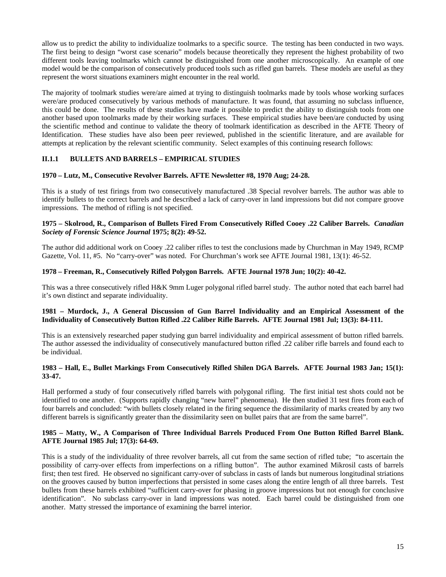allow us to predict the ability to individualize toolmarks to a specific source. The testing has been conducted in two ways. The first being to design "worst case scenario" models because theoretically they represent the highest probability of two different tools leaving toolmarks which cannot be distinguished from one another microscopically. An example of one model would be the comparison of consecutively produced tools such as rifled gun barrels. These models are useful as they represent the worst situations examiners might encounter in the real world.

The majority of toolmark studies were/are aimed at trying to distinguish toolmarks made by tools whose working surfaces were/are produced consecutively by various methods of manufacture. It was found, that assuming no subclass influence, this could be done. The results of these studies have made it possible to predict the ability to distinguish tools from one another based upon toolmarks made by their working surfaces. These empirical studies have been/are conducted by using the scientific method and continue to validate the theory of toolmark identification as described in the AFTE Theory of Identification. These studies have also been peer reviewed, published in the scientific literature, and are available for attempts at replication by the relevant scientific community. Select examples of this continuing research follows:

# **II.1.1 BULLETS AND BARRELS – EMPIRICAL STUDIES**

## **1970 – Lutz, M., Consecutive Revolver Barrels. AFTE Newsletter #8, 1970 Aug; 24-28.**

This is a study of test firings from two consecutively manufactured .38 Special revolver barrels. The author was able to identify bullets to the correct barrels and he described a lack of carry-over in land impressions but did not compare groove impressions. The method of rifling is not specified.

### **1975 – Skolrood, R., Comparison of Bullets Fired From Consecutively Rifled Cooey .22 Caliber Barrels.** *Canadian Society of Forensic Science Journal* **1975; 8(2): 49-52.**

The author did additional work on Cooey .22 caliber rifles to test the conclusions made by Churchman in May 1949, RCMP Gazette, Vol. 11, #5. No "carry-over" was noted. For Churchman's work see AFTE Journal 1981, 13(1): 46-52.

## **1978 – Freeman, R., Consecutively Rifled Polygon Barrels. AFTE Journal 1978 Jun; 10(2): 40-42.**

This was a three consecutively rifled H&K 9mm Luger polygonal rifled barrel study. The author noted that each barrel had it's own distinct and separate individuality.

### **1981 – Murdock, J., A General Discussion of Gun Barrel Individuality and an Empirical Assessment of the Individuality of Consecutively Button Rifled .22 Caliber Rifle Barrels. AFTE Journal 1981 Jul; 13(3): 84-111.**

This is an extensively researched paper studying gun barrel individuality and empirical assessment of button rifled barrels. The author assessed the individuality of consecutively manufactured button rifled .22 caliber rifle barrels and found each to be individual.

### **1983 – Hall, E., Bullet Markings From Consecutively Rifled Shilen DGA Barrels. AFTE Journal 1983 Jan; 15(1): 33-47.**

Hall performed a study of four consecutively rifled barrels with polygonal rifling. The first initial test shots could not be identified to one another. (Supports rapidly changing "new barrel" phenomena). He then studied 31 test fires from each of four barrels and concluded: "with bullets closely related in the firing sequence the dissimilarity of marks created by any two different barrels is significantly greater than the dissimilarity seen on bullet pairs that are from the same barrel".

### **1985 – Matty, W., A Comparison of Three Individual Barrels Produced From One Button Rifled Barrel Blank. AFTE Journal 1985 Jul; 17(3): 64-69.**

This is a study of the individuality of three revolver barrels, all cut from the same section of rifled tube; "to ascertain the possibility of carry-over effects from imperfections on a rifling button". The author examined Mikrosil casts of barrels first; then test fired. He observed no significant carry-over of subclass in casts of lands but numerous longitudinal striations on the grooves caused by button imperfections that persisted in some cases along the entire length of all three barrels. Test bullets from these barrels exhibited "sufficient carry-over for phasing in groove impressions but not enough for conclusive identification". No subclass carry-over in land impressions was noted. Each barrel could be distinguished from one another. Matty stressed the importance of examining the barrel interior.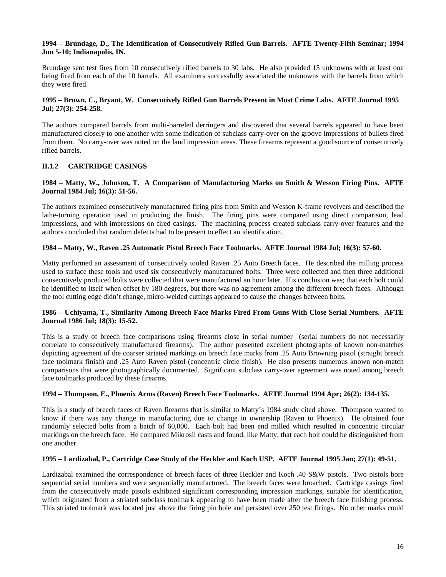### **1994 – Brundage, D., The Identification of Consecutively Rifled Gun Barrels. AFTE Twenty-Fifth Seminar; 1994 Jun 5-10; Indianapolis, IN.**

Brundage sent test fires from 10 consecutively rifled barrels to 30 labs. He also provided 15 unknowns with at least one being fired from each of the 10 barrels. All examiners successfully associated the unknowns with the barrels from which they were fired.

## **1995 – Brown, C., Bryant, W. Consecutively Rifled Gun Barrels Present in Most Crime Labs. AFTE Journal 1995 Jul; 27(3): 254-258.**

The authors compared barrels from multi-barreled derringers and discovered that several barrels appeared to have been manufactured closely to one another with some indication of subclass carry-over on the groove impressions of bullets fired from them. No carry-over was noted on the land impression areas. These firearms represent a good source of consecutively rifled barrels.

# **II.1.2 CARTRIDGE CASINGS**

### **1984 – Matty, W., Johnson, T. A Comparison of Manufacturing Marks on Smith & Wesson Firing Pins. AFTE Journal 1984 Jul; 16(3): 51-56.**

The authors examined consecutively manufactured firing pins from Smith and Wesson K-frame revolvers and described the lathe-turning operation used in producing the finish. The firing pins were compared using direct comparison, lead impressions, and with impressions on fired casings. The machining process created subclass carry-over features and the authors concluded that random defects had to be present to effect an identification.

## **1984 – Matty, W., Raven .25 Automatic Pistol Breech Face Toolmarks. AFTE Journal 1984 Jul; 16(3): 57-60.**

Matty performed an assessment of consecutively tooled Raven .25 Auto Breech faces. He described the milling process used to surface these tools and used six consecutively manufactured bolts. Three were collected and then three additional consecutively produced bolts were collected that were manufactured an hour later. His conclusion was; that each bolt could be identified to itself when offset by 180 degrees, but there was no agreement among the different breech faces. Although the tool cutting edge didn't change, micro-welded cuttings appeared to cause the changes between bolts.

## **1986 – Uchiyama, T., Similarity Among Breech Face Marks Fired From Guns With Close Serial Numbers. AFTE Journal 1986 Jul; 18(3): 15-52.**

This is a study of breech face comparisons using firearms close in serial number (serial numbers do not necessarily correlate to consecutively manufactured firearms). The author presented excellent photographs of known non-matches depicting agreement of the coarser striated markings on breech face marks from .25 Auto Browning pistol (straight breech face toolmark finish) and .25 Auto Raven pistol (concentric circle finish). He also presents numerous known non-match comparisons that were photographically documented. Significant subclass carry-over agreement was noted among breech face toolmarks produced by these firearms.

## **1994 – Thompson, E., Phoenix Arms (Raven) Breech Face Toolmarks. AFTE Journal 1994 Apr; 26(2): 134-135.**

This is a study of breech faces of Raven firearms that is similar to Matty's 1984 study cited above. Thompson wanted to know if there was any change in manufacturing due to change in ownership (Raven to Phoenix). He obtained four randomly selected bolts from a batch of 60,000. Each bolt had been end milled which resulted in concentric circular markings on the breech face. He compared Mikrosil casts and found, like Matty, that each bolt could be distinguished from one another.

### **1995 – Lardizabal, P., Cartridge Case Study of the Heckler and Koch USP. AFTE Journal 1995 Jan; 27(1): 49-51.**

Lardizabal examined the correspondence of breech faces of three Heckler and Koch .40 S&W pistols. Two pistols bore sequential serial numbers and were sequentially manufactured. The breech faces were broached. Cartridge casings fired from the consecutively made pistols exhibited significant corresponding impression markings, suitable for identification, which originated from a striated subclass toolmark appearing to have been made after the breech face finishing process. This striated toolmark was located just above the firing pin hole and persisted over 250 test firings. No other marks could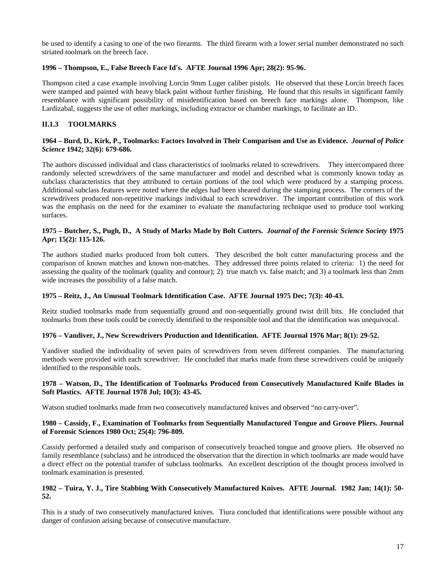be used to identify a casing to one of the two firearms. The third firearm with a lower serial number demonstrated no such striated toolmark on the breech face.

### **1996 – Thompson, E., False Breech Face Id's. AFTE Journal 1996 Apr; 28(2): 95-96.**

Thompson cited a case example involving Lorcin 9mm Luger caliber pistols. He observed that these Lorcin breech faces were stamped and painted with heavy black paint without further finishing. He found that this results in significant family resemblance with significant possibility of misidentification based on breech face markings alone. Thompson, like Lardizabal, suggests the use of other markings, including extractor or chamber markings, to facilitate an ID.

# **II.1.3 TOOLMARKS**

# **1964 – Burd, D., Kirk, P., Toolmarks: Factors Involved in Their Comparison and Use as Evidence.** *Journal of Police Science* **1942; 32(6): 679-686.**

The authors discussed individual and class characteristics of toolmarks related to screwdrivers. They intercompared three randomly selected screwdrivers of the same manufacturer and model and described what is commonly known today as subclass characteristics that they attributed to certain portions of the tool which were produced by a stamping process. Additional subclass features were noted where the edges had been sheared during the stamping process. The corners of the screwdrivers produced non-repetitive markings individual to each screwdriver. The important contribution of this work was the emphasis on the need for the examiner to evaluate the manufacturing technique used to produce tool working surfaces.

### **1975 – Butcher, S., Pugh, D., A Study of Marks Made by Bolt Cutters.** *Journal of the Forensic Science Society* **1975 Apr; 15(2): 115-126.**

The authors studied marks produced from bolt cutters. They described the bolt cutter manufacturing process and the comparison of known matches and known non-matches. They addressed three points related to criteria: 1) the need for assessing the quality of the toolmark (quality and contour); 2) true match vs. false match; and 3) a toolmark less than 2mm wide increases the possibility of a false match.

## **1975 – Reitz, J., An Unusual Toolmark Identification Case. AFTE Journal 1975 Dec; 7(3): 40-43.**

Reitz studied toolmarks made from sequentially ground and non-sequentially ground twist drill bits. He concluded that toolmarks from these tools could be correctly identified to the responsible tool and that the identification was unequivocal.

#### **1976 – Vandiver, J., New Screwdrivers Production and Identification. AFTE Journal 1976 Mar; 8(1): 29-52.**

Vandiver studied the individuality of seven pairs of screwdrivers from seven different companies. The manufacturing methods were provided with each screwdriver. He concluded that marks made from these screwdrivers could be uniquely identified to the responsible tools.

### **1978 – Watson, D., The Identification of Toolmarks Produced from Consecutively Manufactured Knife Blades in Soft Plastics. AFTE Journal 1978 Jul; 10(3): 43-45.**

Watson studied toolmarks made from two consecutively manufactured knives and observed "no carry-over".

### **1980 – Cassidy, F., Examination of Toolmarks from Sequentially Manufactured Tongue and Groove Pliers. Journal of Forensic Sciences 1980 Oct; 25(4): 796-809.**

Cassidy performed a detailed study and comparison of consecutively broached tongue and groove pliers. He observed no family resemblance (subclass) and he introduced the observation that the direction in which toolmarks are made would have a direct effect on the potential transfer of subclass toolmarks. An excellent description of the thought process involved in toolmark examination is presented.

### **1982 – Tuira, Y. J., Tire Stabbing With Consecutively Manufactured Knives. AFTE Journal. 1982 Jan; 14(1): 50- 52.**

This is a study of two consecutively manufactured knives. Tiura concluded that identifications were possible without any danger of confusion arising because of consecutive manufacture.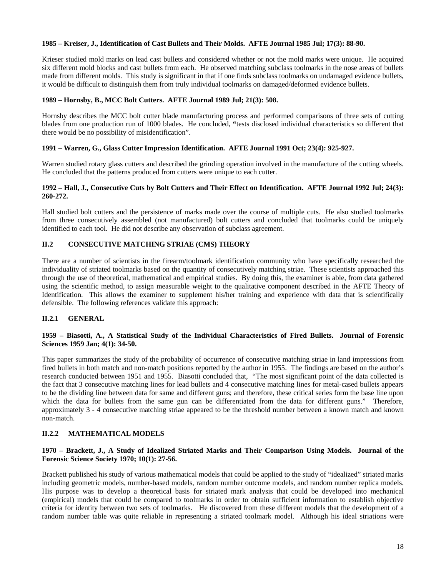### **1985 – Kreiser, J., Identification of Cast Bullets and Their Molds. AFTE Journal 1985 Jul; 17(3): 88-90.**

Krieser studied mold marks on lead cast bullets and considered whether or not the mold marks were unique. He acquired six different mold blocks and cast bullets from each. He observed matching subclass toolmarks in the nose areas of bullets made from different molds. This study is significant in that if one finds subclass toolmarks on undamaged evidence bullets, it would be difficult to distinguish them from truly individual toolmarks on damaged/deformed evidence bullets.

#### **1989 – Hornsby, B., MCC Bolt Cutters. AFTE Journal 1989 Jul; 21(3): 508.**

Hornsby describes the MCC bolt cutter blade manufacturing process and performed comparisons of three sets of cutting blades from one production run of 1000 blades. He concluded, **"**tests disclosed individual characteristics so different that there would be no possibility of misidentification".

#### **1991 – Warren, G., Glass Cutter Impression Identification. AFTE Journal 1991 Oct; 23(4): 925-927.**

Warren studied rotary glass cutters and described the grinding operation involved in the manufacture of the cutting wheels. He concluded that the patterns produced from cutters were unique to each cutter.

### **1992 – Hall, J., Consecutive Cuts by Bolt Cutters and Their Effect on Identification. AFTE Journal 1992 Jul; 24(3): 260-272.**

Hall studied bolt cutters and the persistence of marks made over the course of multiple cuts. He also studied toolmarks from three consecutively assembled (not manufactured) bolt cutters and concluded that toolmarks could be uniquely identified to each tool. He did not describe any observation of subclass agreement.

### **II.2 CONSECUTIVE MATCHING STRIAE (CMS) THEORY**

There are a number of scientists in the firearm/toolmark identification community who have specifically researched the individuality of striated toolmarks based on the quantity of consecutively matching striae. These scientists approached this through the use of theoretical, mathematical and empirical studies. By doing this, the examiner is able, from data gathered using the scientific method, to assign measurable weight to the qualitative component described in the AFTE Theory of Identification. This allows the examiner to supplement his/her training and experience with data that is scientifically defensible. The following references validate this approach:

#### **II.2.1 GENERAL**

#### **1959 – Biasotti, A., A Statistical Study of the Individual Characteristics of Fired Bullets. Journal of Forensic Sciences 1959 Jan; 4(1): 34-50.**

This paper summarizes the study of the probability of occurrence of consecutive matching striae in land impressions from fired bullets in both match and non-match positions reported by the author in 1955. The findings are based on the author's research conducted between 1951 and 1955. Biasotti concluded that, "The most significant point of the data collected is the fact that 3 consecutive matching lines for lead bullets and 4 consecutive matching lines for metal-cased bullets appears to be the dividing line between data for same and different guns; and therefore, these critical series form the base line upon which the data for bullets from the same gun can be differentiated from the data for different guns." Therefore, approximately 3 - 4 consecutive matching striae appeared to be the threshold number between a known match and known non-match.

### **II.2.2 MATHEMATICAL MODELS**

#### **1970 – Brackett, J., A Study of Idealized Striated Marks and Their Comparison Using Models. Journal of the Forensic Science Society 1970; 10(1): 27-56.**

Brackett published his study of various mathematical models that could be applied to the study of "idealized" striated marks including geometric models, number-based models, random number outcome models, and random number replica models. His purpose was to develop a theoretical basis for striated mark analysis that could be developed into mechanical (empirical) models that could be compared to toolmarks in order to obtain sufficient information to establish objective criteria for identity between two sets of toolmarks. He discovered from these different models that the development of a random number table was quite reliable in representing a striated toolmark model. Although his ideal striations were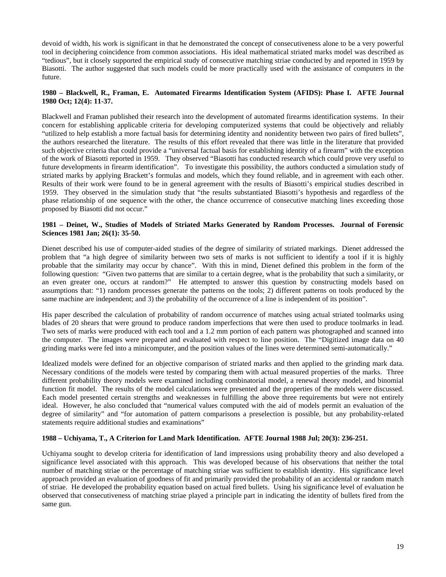devoid of width, his work is significant in that he demonstrated the concept of consecutiveness alone to be a very powerful tool in deciphering coincidence from common associations. His ideal mathematical striated marks model was described as "tedious", but it closely supported the empirical study of consecutive matching striae conducted by and reported in 1959 by Biasotti. The author suggested that such models could be more practically used with the assistance of computers in the future.

### **1980 – Blackwell, R., Framan, E. Automated Firearms Identification System (AFIDS): Phase I. AFTE Journal 1980 Oct; 12(4): 11-37.**

Blackwell and Framan published their research into the development of automated firearms identification systems. In their concern for establishing applicable criteria for developing computerized systems that could be objectively and reliably "utilized to help establish a more factual basis for determining identity and nonidentity between two pairs of fired bullets", the authors researched the literature. The results of this effort revealed that there was little in the literature that provided such objective criteria that could provide a "universal factual basis for establishing identity of a firearm" with the exception of the work of Biasotti reported in 1959. They observed "Biasotti has conducted research which could prove very useful to future developments in firearm identification". To investigate this possibility, the authors conducted a simulation study of striated marks by applying Brackett's formulas and models, which they found reliable, and in agreement with each other. Results of their work were found to be in general agreement with the results of Biasotti's empirical studies described in 1959. They observed in the simulation study that "the results substantiated Biasotti's hypothesis and regardless of the phase relationship of one sequence with the other, the chance occurrence of consecutive matching lines exceeding those proposed by Biasotti did not occur."

### **1981 – Deinet, W., Studies of Models of Striated Marks Generated by Random Processes. Journal of Forensic Sciences 1981 Jan; 26(1): 35-50.**

Dienet described his use of computer-aided studies of the degree of similarity of striated markings. Dienet addressed the problem that "a high degree of similarity between two sets of marks is not sufficient to identify a tool if it is highly probable that the similarity may occur by chance". With this in mind, Dienet defined this problem in the form of the following question: "Given two patterns that are similar to a certain degree, what is the probability that such a similarity, or an even greater one, occurs at random?" He attempted to answer this question by constructing models based on assumptions that: "1) random processes generate the patterns on the tools; 2) different patterns on tools produced by the same machine are independent; and 3) the probability of the occurrence of a line is independent of its position".

His paper described the calculation of probability of random occurrence of matches using actual striated toolmarks using blades of 20 shears that were ground to produce random imperfections that were then used to produce toolmarks in lead. Two sets of marks were produced with each tool and a 1.2 mm portion of each pattern was photographed and scanned into the computer. The images were prepared and evaluated with respect to line position. The "Digitized image data on 40 grinding marks were fed into a minicomputer, and the position values of the lines were determined semi-automatically."

Idealized models were defined for an objective comparison of striated marks and then applied to the grinding mark data. Necessary conditions of the models were tested by comparing them with actual measured properties of the marks. Three different probability theory models were examined including combinatorial model, a renewal theory model, and binomial function fit model. The results of the model calculations were presented and the properties of the models were discussed. Each model presented certain strengths and weaknesses in fulfilling the above three requirements but were not entirely ideal. However, he also concluded that "numerical values computed with the aid of models permit an evaluation of the degree of similarity" and "for automation of pattern comparisons a preselection is possible, but any probability-related statements require additional studies and examinations"

## **1988 – Uchiyama, T., A Criterion for Land Mark Identification. AFTE Journal 1988 Jul; 20(3): 236-251.**

Uchiyama sought to develop criteria for identification of land impressions using probability theory and also developed a significance level associated with this approach. This was developed because of his observations that neither the total number of matching striae or the percentage of matching striae was sufficient to establish identity. His significance level approach provided an evaluation of goodness of fit and primarily provided the probability of an accidental or random match of striae. He developed the probability equation based on actual fired bullets. Using his significance level of evaluation he observed that consecutiveness of matching striae played a principle part in indicating the identity of bullets fired from the same gun.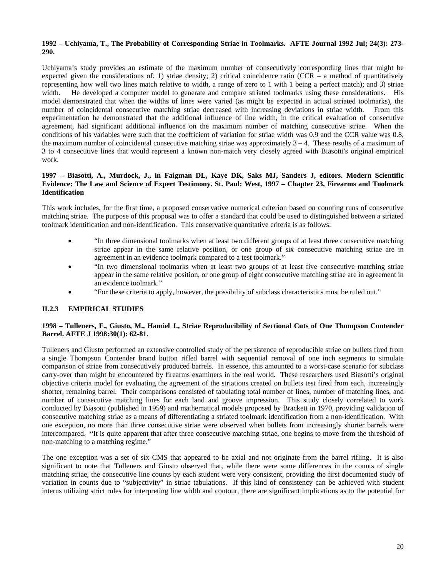# **1992 – Uchiyama, T., The Probability of Corresponding Striae in Toolmarks. AFTE Journal 1992 Jul; 24(3): 273- 290.**

Uchiyama's study provides an estimate of the maximum number of consecutively corresponding lines that might be expected given the considerations of: 1) striae density; 2) critical coincidence ratio (CCR – a method of quantitatively representing how well two lines match relative to width, a range of zero to 1 with 1 being a perfect match); and 3) striae width. He developed a computer model to generate and compare striated toolmarks using these considerations. His model demonstrated that when the widths of lines were varied (as might be expected in actual striated toolmarks), the number of coincidental consecutive matching striae decreased with increasing deviations in striae width. From this experimentation he demonstrated that the additional influence of line width, in the critical evaluation of consecutive agreement, had significant additional influence on the maximum number of matching consecutive striae. When the conditions of his variables were such that the coefficient of variation for striae width was 0.9 and the CCR value was 0.8, the maximum number of coincidental consecutive matching striae was approximately  $3 - 4$ . These results of a maximum of 3 to 4 consecutive lines that would represent a known non-match very closely agreed with Biasotti's original empirical work.

# **1997 – Biasotti, A., Murdock, J., in Faigman DL, Kaye DK, Saks MJ, Sanders J, editors. Modern Scientific Evidence: The Law and Science of Expert Testimony. St. Paul: West, 1997 – Chapter 23, Firearms and Toolmark Identification**

This work includes, for the first time, a proposed conservative numerical criterion based on counting runs of consecutive matching striae. The purpose of this proposal was to offer a standard that could be used to distinguished between a striated toolmark identification and non-identification. This conservative quantitative criteria is as follows:

- "In three dimensional toolmarks when at least two different groups of at least three consecutive matching striae appear in the same relative position, or one group of six consecutive matching striae are in agreement in an evidence toolmark compared to a test toolmark."
- "In two dimensional toolmarks when at least two groups of at least five consecutive matching striae appear in the same relative position, or one group of eight consecutive matching striae are in agreement in an evidence toolmark."
- "For these criteria to apply, however, the possibility of subclass characteristics must be ruled out."

## **II.2.3 EMPIRICAL STUDIES**

### **1998 – Tulleners, F., Giusto, M., Hamiel J., Striae Reproducibility of Sectional Cuts of One Thompson Contender Barrel. AFTE J 1998:30(1): 62-81.**

Tulleners and Giusto performed an extensive controlled study of the persistence of reproducible striae on bullets fired from a single Thompson Contender brand button rifled barrel with sequential removal of one inch segments to simulate comparison of striae from consecutively produced barrels. In essence, this amounted to a worst-case scenario for subclass carry-over than might be encountered by firearms examiners in the real world**.** These researchers used Biasotti's original objective criteria model for evaluating the agreement of the striations created on bullets test fired from each, increasingly shorter, remaining barrel. Their comparisons consisted of tabulating total number of lines, number of matching lines, and number of consecutive matching lines for each land and groove impression. This study closely correlated to work conducted by Biasotti (published in 1959) and mathematical models proposed by Brackett in 1970, providing validation of consecutive matching striae as a means of differentiating a striated toolmark identification from a non-identification. With one exception, no more than three consecutive striae were observed when bullets from increasingly shorter barrels were intercompared. "It is quite apparent that after three consecutive matching striae, one begins to move from the threshold of non-matching to a matching regime."

The one exception was a set of six CMS that appeared to be axial and not originate from the barrel rifling. It is also significant to note that Tulleners and Giusto observed that, while there were some differences in the counts of single matching striae, the consecutive line counts by each student were very consistent, providing the first documented study of variation in counts due to "subjectivity" in striae tabulations. If this kind of consistency can be achieved with student interns utilizing strict rules for interpreting line width and contour, there are significant implications as to the potential for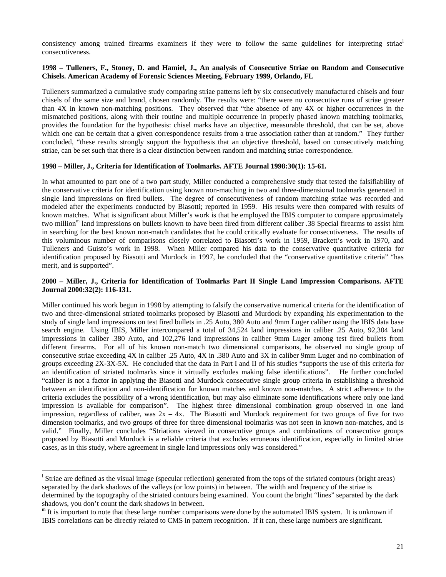consistency among trained firearms examiners if they were to follow the same guidelines for interpreting striae<sup>l</sup> consecutiveness.

### **1998 – Tulleners, F., Stoney, D. and Hamiel, J., An analysis of Consecutive Striae on Random and Consecutive Chisels. American Academy of Forensic Sciences Meeting, February 1999, Orlando, FL**

Tulleners summarized a cumulative study comparing striae patterns left by six consecutively manufactured chisels and four chisels of the same size and brand, chosen randomly. The results were: "there were no consecutive runs of striae greater than 4X in known non-matching positions. They observed that "the absence of any 4X or higher occurrences in the mismatched positions, along with their routine and multiple occurrence in properly phased known matching toolmarks, provides the foundation for the hypothesis: chisel marks have an objective, measurable threshold, that can be set, above which one can be certain that a given correspondence results from a true association rather than at random." They further concluded, "these results strongly support the hypothesis that an objective threshold, based on consecutively matching striae, can be set such that there is a clear distinction between random and matching striae correspondence.

### **1998 – Miller, J., Criteria for Identification of Toolmarks. AFTE Journal 1998:30(1): 15-61.**

In what amounted to part one of a two part study, Miller conducted a comprehensive study that tested the falsifiability of the conservative criteria for identification using known non-matching in two and three-dimensional toolmarks generated in single land impressions on fired bullets. The degree of consecutiveness of random matching striae was recorded and modeled after the experiments conducted by Biasotti; reported in 1959. His results were then compared with results of known matches. What is significant about Miller's work is that he employed the IBIS computer to compare approximately two million<sup>m</sup> land impressions on bullets known to have been fired from different caliber .38 Special firearms to assist him in searching for the best known non-match candidates that he could critically evaluate for consecutiveness. The results of this voluminous number of comparisons closely correlated to Biasotti's work in 1959, Brackett's work in 1970, and Tulleners and Guisto's work in 1998. When Miller compared his data to the conservative quantitative criteria for identification proposed by Biasotti and Murdock in 1997, he concluded that the "conservative quantitative criteria" "has merit, and is supported".

### **2000 – Miller, J., Criteria for Identification of Toolmarks Part II Single Land Impression Comparisons. AFTE Journal 2000:32(2): 116-131.**

Miller continued his work begun in 1998 by attempting to falsify the conservative numerical criteria for the identification of two and three-dimensional striated toolmarks proposed by Biasotti and Murdock by expanding his experimentation to the study of single land impressions on test fired bullets in .25 Auto, 380 Auto and 9mm Luger caliber using the IBIS data base search engine. Using IBIS, Miller intercompared a total of 34,524 land impressions in caliber .25 Auto, 92,304 land impressions in caliber .380 Auto, and 102,276 land impressions in caliber 9mm Luger among test fired bullets from different firearms. For all of his known non-match two dimensional comparisons, he observed no single group of consecutive striae exceeding 4X in caliber .25 Auto, 4X in .380 Auto and 3X in caliber 9mm Luger and no combination of groups exceeding 2X-3X-5X. He concluded that the data in Part I and II of his studies "supports the use of this criteria for an identification of striated toolmarks since it virtually excludes making false identifications". He further concluded "caliber is not a factor in applying the Biasotti and Murdock consecutive single group criteria in establishing a threshold between an identification and non-identification for known matches and known non-matches. A strict adherence to the criteria excludes the possibility of a wrong identification, but may also eliminate some identifications where only one land impression is available for comparison". The highest three dimensional combination group observed in one land impression, regardless of caliber, was  $2x - 4x$ . The Biasotti and Murdock requirement for two groups of five for two dimension toolmarks, and two groups of three for three dimensional toolmarks was not seen in known non-matches, and is valid." Finally, Miller concludes "Striations viewed in consecutive groups and combinations of consecutive groups proposed by Biasotti and Murdock is a reliable criteria that excludes erroneous identification, especially in limited striae cases, as in this study, where agreement in single land impressions only was considered."

 $\overline{a}$ 

<sup>&</sup>lt;sup>1</sup> Striae are defined as the visual image (specular reflection) generated from the tops of the striated contours (bright areas) separated by the dark shadows of the valleys (or low points) in between. The width and frequency of the striae is determined by the topography of the striated contours being examined. You count the bright "lines" separated by the dark shadows, you don't count the dark shadows in between.

 $<sup>m</sup>$  It is important to note that these large number comparisons were done by the automated IBIS system. It is unknown if</sup> IBIS correlations can be directly related to CMS in pattern recognition. If it can, these large numbers are significant.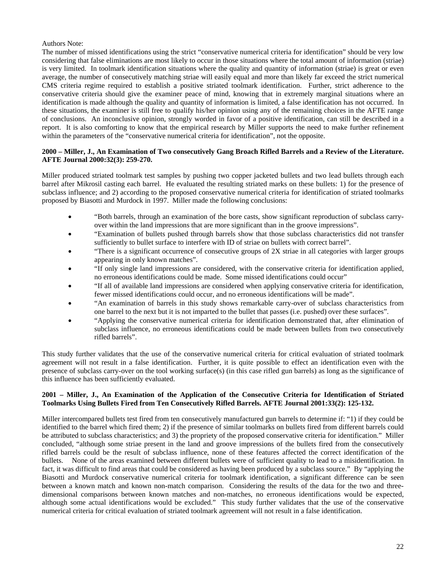### Authors Note:

The number of missed identifications using the strict "conservative numerical criteria for identification" should be very low considering that false eliminations are most likely to occur in those situations where the total amount of information (striae) is very limited. In toolmark identification situations where the quality and quantity of information (striae) is great or even average, the number of consecutively matching striae will easily equal and more than likely far exceed the strict numerical CMS criteria regime required to establish a positive striated toolmark identification. Further, strict adherence to the conservative criteria should give the examiner peace of mind, knowing that in extremely marginal situations where an identification is made although the quality and quantity of information is limited, a false identification has not occurred. In these situations, the examiner is still free to qualify his/her opinion using any of the remaining choices in the AFTE range of conclusions. An inconclusive opinion, strongly worded in favor of a positive identification, can still be described in a report. It is also comforting to know that the empirical research by Miller supports the need to make further refinement within the parameters of the "conservative numerical criteria for identification", not the opposite.

### **2000 – Miller, J., An Examination of Two consecutively Gang Broach Rifled Barrels and a Review of the Literature. AFTE Journal 2000:32(3): 259-270.**

Miller produced striated toolmark test samples by pushing two copper jacketed bullets and two lead bullets through each barrel after Mikrosil casting each barrel. He evaluated the resulting striated marks on these bullets: 1) for the presence of subclass influence; and 2) according to the proposed conservative numerical criteria for identification of striated toolmarks proposed by Biasotti and Murdock in 1997. Miller made the following conclusions:

- "Both barrels, through an examination of the bore casts, show significant reproduction of subclass carryover within the land impressions that are more significant than in the groove impressions".
- "Examination of bullets pushed through barrels show that those subclass characteristics did not transfer sufficiently to bullet surface to interfere with ID of striae on bullets with correct barrel".
- "There is a significant occurrence of consecutive groups of 2X striae in all categories with larger groups appearing in only known matches".
- "If only single land impressions are considered, with the conservative criteria for identification applied, no erroneous identifications could be made. Some missed identifications could occur"
- "If all of available land impressions are considered when applying conservative criteria for identification, fewer missed identifications could occur, and no erroneous identifications will be made".
- "An examination of barrels in this study shows remarkable carry-over of subclass characteristics from one barrel to the next but it is not imparted to the bullet that passes (i.e. pushed) over these surfaces".
- "Applying the conservative numerical criteria for identification demonstrated that, after elimination of subclass influence, no erroneous identifications could be made between bullets from two consecutively rifled barrels".

This study further validates that the use of the conservative numerical criteria for critical evaluation of striated toolmark agreement will not result in a false identification. Further, it is quite possible to effect an identification even with the presence of subclass carry-over on the tool working surface(s) (in this case rifled gun barrels) as long as the significance of this influence has been sufficiently evaluated.

### **2001 – Miller, J., An Examination of the Application of the Consecutive Criteria for Identification of Striated Toolmarks Using Bullets Fired from Ten Consecutively Rifled Barrels. AFTE Journal 2001:33(2): 125-132.**

Miller intercompared bullets test fired from ten consecutively manufactured gun barrels to determine if: "1) if they could be identified to the barrel which fired them; 2) if the presence of similar toolmarks on bullets fired from different barrels could be attributed to subclass characteristics; and 3) the propriety of the proposed conservative criteria for identification." Miller concluded, "although some striae present in the land and groove impressions of the bullets fired from the consecutively rifled barrels could be the result of subclass influence, none of these features affected the correct identification of the bullets. None of the areas examined between different bullets were of sufficient quality to lead to a misidentification. In fact, it was difficult to find areas that could be considered as having been produced by a subclass source." By "applying the Biasotti and Murdock conservative numerical criteria for toolmark identification, a significant difference can be seen between a known match and known non-match comparison. Considering the results of the data for the two and threedimensional comparisons between known matches and non-matches, no erroneous identifications would be expected, although some actual identifications would be excluded." This study further validates that the use of the conservative numerical criteria for critical evaluation of striated toolmark agreement will not result in a false identification.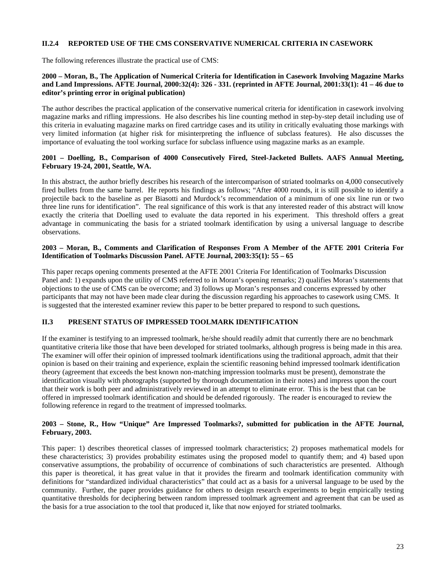## **II.2.4 REPORTED USE OF THE CMS CONSERVATIVE NUMERICAL CRITERIA IN CASEWORK**

The following references illustrate the practical use of CMS:

## **2000 – Moran, B., The Application of Numerical Criteria for Identification in Casework Involving Magazine Marks and Land Impressions. AFTE Journal, 2000:32(4): 326 - 331. (reprinted in AFTE Journal, 2001:33(1): 41 – 46 due to editor's printing error in original publication)**

The author describes the practical application of the conservative numerical criteria for identification in casework involving magazine marks and rifling impressions. He also describes his line counting method in step-by-step detail including use of this criteria in evaluating magazine marks on fired cartridge cases and its utility in critically evaluating those markings with very limited information (at higher risk for misinterpreting the influence of subclass features). He also discusses the importance of evaluating the tool working surface for subclass influence using magazine marks as an example.

### **2001 – Doelling, B., Comparison of 4000 Consecutively Fired, Steel-Jacketed Bullets. AAFS Annual Meeting, February 19-24, 2001, Seattle, WA.**

In this abstract, the author briefly describes his research of the intercomparison of striated toolmarks on 4,000 consecutively fired bullets from the same barrel. He reports his findings as follows; "After 4000 rounds, it is still possible to identify a projectile back to the baseline as per Biasotti and Murdock's recommendation of a minimum of one six line run or two three line runs for identification". The real significance of this work is that any interested reader of this abstract will know exactly the criteria that Doelling used to evaluate the data reported in his experiment. This threshold offers a great advantage in communicating the basis for a striated toolmark identification by using a universal language to describe observations.

### **2003 – Moran, B., Comments and Clarification of Responses From A Member of the AFTE 2001 Criteria For Identification of Toolmarks Discussion Panel. AFTE Journal, 2003:35(1): 55 – 65**

This paper recaps opening comments presented at the AFTE 2001 Criteria For Identification of Toolmarks Discussion Panel and: 1) expands upon the utility of CMS referred to in Moran's opening remarks; 2) qualifies Moran's statements that objections to the use of CMS can be overcome; and 3) follows up Moran's responses and concerns expressed by other participants that may not have been made clear during the discussion regarding his approaches to casework using CMS. It is suggested that the interested examiner review this paper to be better prepared to respond to such questions**.** 

## **II.3 PRESENT STATUS OF IMPRESSED TOOLMARK IDENTIFICATION**

If the examiner is testifying to an impressed toolmark, he/she should readily admit that currently there are no benchmark quantitative criteria like those that have been developed for striated toolmarks, although progress is being made in this area. The examiner will offer their opinion of impressed toolmark identifications using the traditional approach, admit that their opinion is based on their training and experience, explain the scientific reasoning behind impressed toolmark identification theory (agreement that exceeds the best known non-matching impression toolmarks must be present), demonstrate the identification visually with photographs (supported by thorough documentation in their notes) and impress upon the court that their work is both peer and administratively reviewed in an attempt to eliminate error. This is the best that can be offered in impressed toolmark identification and should be defended rigorously. The reader is encouraged to review the following reference in regard to the treatment of impressed toolmarks.

## **2003 – Stone, R., How "Unique" Are Impressed Toolmarks?, submitted for publication in the AFTE Journal, February, 2003.**

This paper: 1) describes theoretical classes of impressed toolmark characteristics; 2) proposes mathematical models for these characteristics; 3) provides probability estimates using the proposed model to quantify them; and 4) based upon conservative assumptions, the probability of occurrence of combinations of such characteristics are presented. Although this paper is theoretical, it has great value in that it provides the firearm and toolmark identification community with definitions for "standardized individual characteristics" that could act as a basis for a universal language to be used by the community. Further, the paper provides guidance for others to design research experiments to begin empirically testing quantitative thresholds for deciphering between random impressed toolmark agreement and agreement that can be used as the basis for a true association to the tool that produced it, like that now enjoyed for striated toolmarks.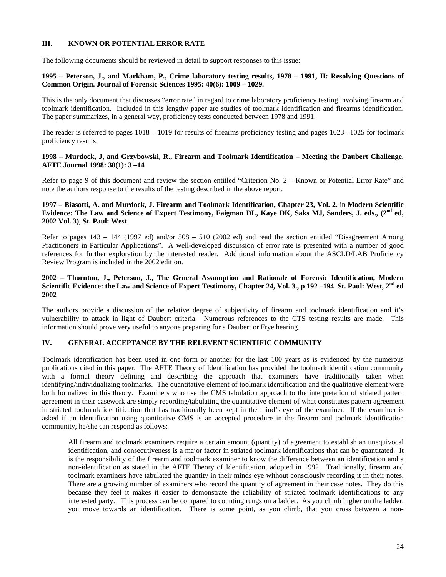# **III. KNOWN OR POTENTIAL ERROR RATE**

The following documents should be reviewed in detail to support responses to this issue:

### **1995 – Peterson, J., and Markham, P., Crime laboratory testing results, 1978 – 1991, II: Resolving Questions of Common Origin. Journal of Forensic Sciences 1995: 40(6): 1009 – 1029.**

This is the only document that discusses "error rate" in regard to crime laboratory proficiency testing involving firearm and toolmark identification. Included in this lengthy paper are studies of toolmark identification and firearms identification. The paper summarizes, in a general way, proficiency tests conducted between 1978 and 1991.

The reader is referred to pages  $1018 - 1019$  for results of firearms proficiency testing and pages  $1023 - 1025$  for toolmark proficiency results.

### **1998 – Murdock, J, and Grzybowski, R., Firearm and Toolmark Identification – Meeting the Daubert Challenge. AFTE Journal 1998: 30(1): 3 –14**

Refer to page 9 of this document and review the section entitled "Criterion No. 2 – Known or Potential Error Rate" and note the authors response to the results of the testing described in the above report.

# **1997 – Biasotti, A. and Murdock, J. Firearm and Toolmark Identification, Chapter 23, Vol. 2.** in **Modern Scientific Evidence: The Law and Science of Expert Testimony, Faigman DL, Kaye DK, Saks MJ, Sanders, J. eds., (2nd ed, 2002 Vol. 3)**, **St. Paul: West**

Refer to pages 143 – 144 (1997 ed) and/or 508 – 510 (2002 ed) and read the section entitled "Disagreement Among Practitioners in Particular Applications". A well-developed discussion of error rate is presented with a number of good references for further exploration by the interested reader. Additional information about the ASCLD/LAB Proficiency Review Program is included in the 2002 edition.

## **2002 – Thornton, J., Peterson, J., The General Assumption and Rationale of Forensic Identification, Modern Scientific Evidence: the Law and Science of Expert Testimony, Chapter 24, Vol. 3., p 192 –194 St. Paul: West, 2nd ed 2002**

The authors provide a discussion of the relative degree of subjectivity of firearm and toolmark identification and it's vulnerability to attack in light of Daubert criteria. Numerous references to the CTS testing results are made. This information should prove very useful to anyone preparing for a Daubert or Frye hearing.

# **IV. GENERAL ACCEPTANCE BY THE RELEVENT SCIENTIFIC COMMUNITY**

Toolmark identification has been used in one form or another for the last 100 years as is evidenced by the numerous publications cited in this paper. The AFTE Theory of Identification has provided the toolmark identification community with a formal theory defining and describing the approach that examiners have traditionally taken when identifying/individualizing toolmarks. The quantitative element of toolmark identification and the qualitative element were both formalized in this theory. Examiners who use the CMS tabulation approach to the interpretation of striated pattern agreement in their casework are simply recording/tabulating the quantitative element of what constitutes pattern agreement in striated toolmark identification that has traditionally been kept in the mind's eye of the examiner. If the examiner is asked if an identification using quantitative CMS is an accepted procedure in the firearm and toolmark identification community, he/she can respond as follows:

All firearm and toolmark examiners require a certain amount (quantity) of agreement to establish an unequivocal identification, and consecutiveness is a major factor in striated toolmark identifications that can be quantitated. It is the responsibility of the firearm and toolmark examiner to know the difference between an identification and a non-identification as stated in the AFTE Theory of Identification, adopted in 1992. Traditionally, firearm and toolmark examiners have tabulated the quantity in their minds eye without consciously recording it in their notes. There are a growing number of examiners who record the quantity of agreement in their case notes. They do this because they feel it makes it easier to demonstrate the reliability of striated toolmark identifications to any interested party. This process can be compared to counting rungs on a ladder. As you climb higher on the ladder, you move towards an identification. There is some point, as you climb, that you cross between a non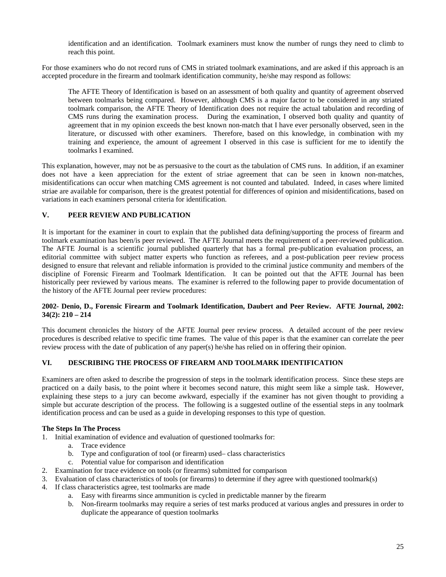identification and an identification. Toolmark examiners must know the number of rungs they need to climb to reach this point.

For those examiners who do not record runs of CMS in striated toolmark examinations, and are asked if this approach is an accepted procedure in the firearm and toolmark identification community, he/she may respond as follows:

The AFTE Theory of Identification is based on an assessment of both quality and quantity of agreement observed between toolmarks being compared. However, although CMS is a major factor to be considered in any striated toolmark comparison, the AFTE Theory of Identification does not require the actual tabulation and recording of CMS runs during the examination process. During the examination, I observed both quality and quantity of agreement that in my opinion exceeds the best known non-match that I have ever personally observed, seen in the literature, or discussed with other examiners. Therefore, based on this knowledge, in combination with my training and experience, the amount of agreement I observed in this case is sufficient for me to identify the toolmarks I examined.

This explanation, however, may not be as persuasive to the court as the tabulation of CMS runs. In addition, if an examiner does not have a keen appreciation for the extent of striae agreement that can be seen in known non-matches, misidentifications can occur when matching CMS agreement is not counted and tabulated. Indeed, in cases where limited striae are available for comparison, there is the greatest potential for differences of opinion and misidentifications, based on variations in each examiners personal criteria for identification.

# **V. PEER REVIEW AND PUBLICATION**

It is important for the examiner in court to explain that the published data defining/supporting the process of firearm and toolmark examination has been/is peer reviewed. The AFTE Journal meets the requirement of a peer-reviewed publication. The AFTE Journal is a scientific journal published quarterly that has a formal pre-publication evaluation process, an editorial committee with subject matter experts who function as referees, and a post-publication peer review process designed to ensure that relevant and reliable information is provided to the criminal justice community and members of the discipline of Forensic Firearm and Toolmark Identification. It can be pointed out that the AFTE Journal has been historically peer reviewed by various means. The examiner is referred to the following paper to provide documentation of the history of the AFTE Journal peer review procedures:

## **2002- Denio, D., Forensic Firearm and Toolmark Identification, Daubert and Peer Review. AFTE Journal, 2002: 34(2): 210 – 214**

This document chronicles the history of the AFTE Journal peer review process. A detailed account of the peer review procedures is described relative to specific time frames. The value of this paper is that the examiner can correlate the peer review process with the date of publication of any paper(s) he/she has relied on in offering their opinion.

# **VI. DESCRIBING THE PROCESS OF FIREARM AND TOOLMARK IDENTIFICATION**

Examiners are often asked to describe the progression of steps in the toolmark identification process. Since these steps are practiced on a daily basis, to the point where it becomes second nature, this might seem like a simple task. However, explaining these steps to a jury can become awkward, especially if the examiner has not given thought to providing a simple but accurate description of the process. The following is a suggested outline of the essential steps in any toolmark identification process and can be used as a guide in developing responses to this type of question.

## **The Steps In The Process**

- 1. Initial examination of evidence and evaluation of questioned toolmarks for:
	- a. Trace evidence
	- b. Type and configuration of tool (or firearm) used– class characteristics
	- c. Potential value for comparison and identification
- 2. Examination for trace evidence on tools (or firearms) submitted for comparison
- 3. Evaluation of class characteristics of tools (or firearms) to determine if they agree with questioned toolmark(s)
- 4. If class characteristics agree, test toolmarks are made
	- a. Easy with firearms since ammunition is cycled in predictable manner by the firearm
	- b. Non-firearm toolmarks may require a series of test marks produced at various angles and pressures in order to duplicate the appearance of question toolmarks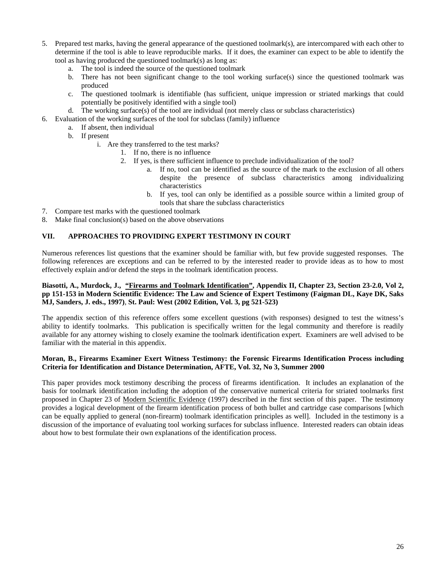- 5. Prepared test marks, having the general appearance of the questioned toolmark(s), are intercompared with each other to determine if the tool is able to leave reproducible marks. If it does, the examiner can expect to be able to identify the tool as having produced the questioned toolmark(s) as long as:
	- a. The tool is indeed the source of the questioned toolmark
	- b. There has not been significant change to the tool working surface(s) since the questioned toolmark was produced
	- c. The questioned toolmark is identifiable (has sufficient, unique impression or striated markings that could potentially be positively identified with a single tool)
	- d. The working surface(s) of the tool are individual (not merely class or subclass characteristics)
- 6. Evaluation of the working surfaces of the tool for subclass (family) influence
	- a. If absent, then individual
		- b. If present
			- i. Are they transferred to the test marks?
				- 1. If no, there is no influence
				- 2. If yes, is there sufficient influence to preclude individualization of the tool?
					- a. If no, tool can be identified as the source of the mark to the exclusion of all others despite the presence of subclass characteristics among individualizing characteristics
					- b. If yes, tool can only be identified as a possible source within a limited group of tools that share the subclass characteristics
- 7. Compare test marks with the questioned toolmark
- 8. Make final conclusion(s) based on the above observations

# **VII. APPROACHES TO PROVIDING EXPERT TESTIMONY IN COURT**

Numerous references list questions that the examiner should be familiar with, but few provide suggested responses. The following references are exceptions and can be referred to by the interested reader to provide ideas as to how to most effectively explain and/or defend the steps in the toolmark identification process.

### **Biasotti, A., Murdock, J., "Firearms and Toolmark Identification", Appendix II, Chapter 23, Section 23-2.0, Vol 2, pp 151-153 in Modern Scientific Evidence: The Law and Science of Expert Testimony (Faigman DL, Kaye DK, Saks MJ, Sanders, J. eds., 1997)**, **St. Paul: West (2002 Edition, Vol. 3, pg 521-523)**

The appendix section of this reference offers some excellent questions (with responses) designed to test the witness's ability to identify toolmarks. This publication is specifically written for the legal community and therefore is readily available for any attorney wishing to closely examine the toolmark identification expert. Examiners are well advised to be familiar with the material in this appendix.

### **Moran, B., Firearms Examiner Exert Witness Testimony: the Forensic Firearms Identification Process including Criteria for Identification and Distance Determination, AFTE, Vol. 32, No 3, Summer 2000**

This paper provides mock testimony describing the process of firearms identification. It includes an explanation of the basis for toolmark identification including the adoption of the conservative numerical criteria for striated toolmarks first proposed in Chapter 23 of Modern Scientific Evidence (1997) described in the first section of this paper. The testimony provides a logical development of the firearm identification process of both bullet and cartridge case comparisons [which can be equally applied to general (non-firearm) toolmark identification principles as well]. Included in the testimony is a discussion of the importance of evaluating tool working surfaces for subclass influence. Interested readers can obtain ideas about how to best formulate their own explanations of the identification process.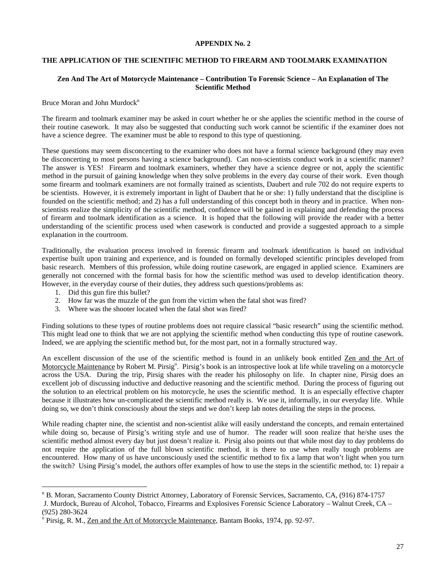#### **APPENDIX No. 2**

# **THE APPLICATION OF THE SCIENTIFIC METHOD TO FIREARM AND TOOLMARK EXAMINATION**

### **Zen And The Art of Motorcycle Maintenance – Contribution To Forensic Science – An Explanation of The Scientific Method**

#### Bruce Moran and John Murdock<sup>n</sup>

The firearm and toolmark examiner may be asked in court whether he or she applies the scientific method in the course of their routine casework. It may also be suggested that conducting such work cannot be scientific if the examiner does not have a science degree. The examiner must be able to respond to this type of questioning.

These questions may seem disconcerting to the examiner who does not have a formal science background (they may even be disconcerting to most persons having a science background). Can non-scientists conduct work in a scientific manner? The answer is YES! Firearm and toolmark examiners, whether they have a science degree or not, apply the scientific method in the pursuit of gaining knowledge when they solve problems in the every day course of their work. Even though some firearm and toolmark examiners are not formally trained as scientists, Daubert and rule 702 do not require experts to be scientists. However, it is extremely important in light of Daubert that he or she: 1) fully understand that the discipline is founded on the scientific method; and 2) has a full understanding of this concept both in theory and in practice. When nonscientists realize the simplicity of the scientific method, confidence will be gained in explaining and defending the process of firearm and toolmark identification as a science. It is hoped that the following will provide the reader with a better understanding of the scientific process used when casework is conducted and provide a suggested approach to a simple explanation in the courtroom.

Traditionally, the evaluation process involved in forensic firearm and toolmark identification is based on individual expertise built upon training and experience, and is founded on formally developed scientific principles developed from basic research. Members of this profession, while doing routine casework, are engaged in applied science. Examiners are generally not concerned with the formal basis for how the scientific method was used to develop identification theory. However, in the everyday course of their duties, they address such questions/problems as:

1. Did this gun fire this bullet?

 $\overline{a}$ 

- 2. How far was the muzzle of the gun from the victim when the fatal shot was fired?
- 3. Where was the shooter located when the fatal shot was fired?

Finding solutions to these types of routine problems does not require classical "basic research" using the scientific method. This might lead one to think that we are not applying the scientific method when conducting this type of routine casework. Indeed, we are applying the scientific method but, for the most part, not in a formally structured way.

An excellent discussion of the use of the scientific method is found in an unlikely book entitled Zen and the Art of Motorcycle Maintenance by Robert M. Pirsig<sup>o</sup>. Pirsig's book is an introspective look at life while traveling on a motorcycle across the USA. During the trip, Pirsig shares with the reader his philosophy on life. In chapter nine, Pirsig does an excellent job of discussing inductive and deductive reasoning and the scientific method. During the process of figuring out the solution to an electrical problem on his motorcycle, he uses the scientific method. It is an especially effective chapter because it illustrates how un-complicated the scientific method really is. We use it, informally, in our everyday life. While doing so, we don't think consciously about the steps and we don't keep lab notes detailing the steps in the process.

While reading chapter nine, the scientist and non-scientist alike will easily understand the concepts, and remain entertained while doing so, because of Pirsig's writing style and use of humor. The reader will soon realize that he/she uses the scientific method almost every day but just doesn't realize it. Pirsig also points out that while most day to day problems do not require the application of the full blown scientific method, it is there to use when really tough problems are encountered. How many of us have unconsciously used the scientific method to fix a lamp that won't light when you turn the switch? Using Pirsig's model, the authors offer examples of how to use the steps in the scientific method, to: 1) repair a

 J. Murdock, Bureau of Alcohol, Tobacco, Firearms and Explosives Forensic Science Laboratory – Walnut Creek, CA – (925) 280-3624

<sup>&</sup>lt;sup>n</sup> B. Moran, Sacramento County District Attorney, Laboratory of Forensic Services, Sacramento, CA, (916) 874-1757

<sup>&</sup>lt;sup>o</sup> Pirsig, R. M., <u>Zen and the Art of Motorcycle Maintenance</u>, Bantam Books, 1974, pp. 92-97.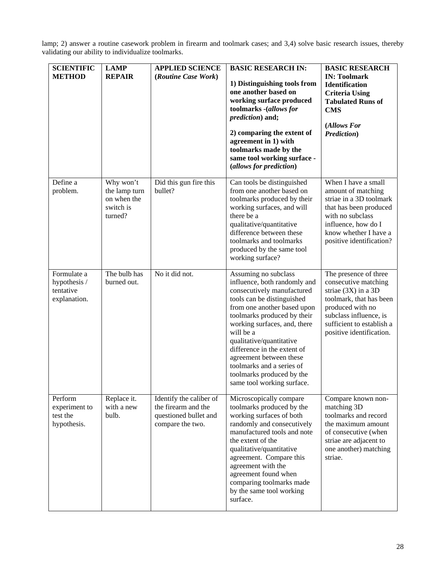lamp; 2) answer a routine casework problem in firearm and toolmark cases; and 3,4) solve basic research issues, thereby validating our ability to individualize toolmarks.

| <b>SCIENTIFIC</b><br><b>METHOD</b>                       | <b>LAMP</b><br><b>REPAIR</b>                                      | <b>APPLIED SCIENCE</b><br>(Routine Case Work)                                               | <b>BASIC RESEARCH IN:</b><br>1) Distinguishing tools from<br>one another based on<br>working surface produced<br>toolmarks -(allows for<br><i>prediction</i> ) and;<br>2) comparing the extent of<br>agreement in 1) with<br>toolmarks made by the<br>same tool working surface -<br>(allows for prediction)                                                                                              | <b>BASIC RESEARCH</b><br><b>IN: Toolmark</b><br><b>Identification</b><br><b>Criteria Using</b><br><b>Tabulated Runs of</b><br><b>CMS</b><br>(Allows For<br><b>Prediction</b> )                           |
|----------------------------------------------------------|-------------------------------------------------------------------|---------------------------------------------------------------------------------------------|-----------------------------------------------------------------------------------------------------------------------------------------------------------------------------------------------------------------------------------------------------------------------------------------------------------------------------------------------------------------------------------------------------------|----------------------------------------------------------------------------------------------------------------------------------------------------------------------------------------------------------|
| Define a<br>problem.                                     | Why won't<br>the lamp turn<br>on when the<br>switch is<br>turned? | Did this gun fire this<br>bullet?                                                           | Can tools be distinguished<br>from one another based on<br>toolmarks produced by their<br>working surfaces, and will<br>there be a<br>qualitative/quantitative<br>difference between these<br>toolmarks and toolmarks<br>produced by the same tool<br>working surface?                                                                                                                                    | When I have a small<br>amount of matching<br>striae in a 3D toolmark<br>that has been produced<br>with no subclass<br>influence, how do I<br>know whether I have a<br>positive identification?           |
| Formulate a<br>hypothesis /<br>tentative<br>explanation. | The bulb has<br>burned out.                                       | No it did not.                                                                              | Assuming no subclass<br>influence, both randomly and<br>consecutively manufactured<br>tools can be distinguished<br>from one another based upon<br>toolmarks produced by their<br>working surfaces, and, there<br>will be a<br>qualitative/quantitative<br>difference in the extent of<br>agreement between these<br>toolmarks and a series of<br>toolmarks produced by the<br>same tool working surface. | The presence of three<br>consecutive matching<br>striae $(3X)$ in a 3D<br>toolmark, that has been<br>produced with no<br>subclass influence, is<br>sufficient to establish a<br>positive identification. |
| Perform<br>experiment to<br>test the<br>hypothesis.      | Replace it.<br>with a new<br>bulb.                                | Identify the caliber of<br>the firearm and the<br>questioned bullet and<br>compare the two. | Microscopically compare<br>toolmarks produced by the<br>working surfaces of both<br>randomly and consecutively<br>manufactured tools and note<br>the extent of the<br>qualitative/quantitative<br>agreement. Compare this<br>agreement with the<br>agreement found when<br>comparing toolmarks made<br>by the same tool working<br>surface.                                                               | Compare known non-<br>matching 3D<br>toolmarks and record<br>the maximum amount<br>of consecutive (when<br>striae are adjacent to<br>one another) matching<br>striae.                                    |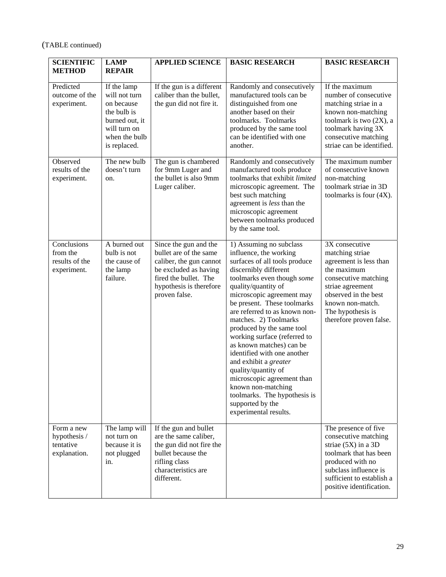| <b>SCIENTIFIC</b><br><b>METHOD</b>                       | <b>LAMP</b><br><b>REPAIR</b>                                                                                                 | <b>APPLIED SCIENCE</b>                                                                                                                                                   | <b>BASIC RESEARCH</b>                                                                                                                                                                                                                                                                                                                                                                                                                                                                                                                                                                           | <b>BASIC RESEARCH</b>                                                                                                                                                                                              |
|----------------------------------------------------------|------------------------------------------------------------------------------------------------------------------------------|--------------------------------------------------------------------------------------------------------------------------------------------------------------------------|-------------------------------------------------------------------------------------------------------------------------------------------------------------------------------------------------------------------------------------------------------------------------------------------------------------------------------------------------------------------------------------------------------------------------------------------------------------------------------------------------------------------------------------------------------------------------------------------------|--------------------------------------------------------------------------------------------------------------------------------------------------------------------------------------------------------------------|
| Predicted<br>outcome of the<br>experiment.               | If the lamp<br>will not turn<br>on because<br>the bulb is<br>burned out, it<br>will turn on<br>when the bulb<br>is replaced. | If the gun is a different<br>caliber than the bullet,<br>the gun did not fire it.                                                                                        | Randomly and consecutively<br>manufactured tools can be<br>distinguished from one<br>another based on their<br>toolmarks. Toolmarks<br>produced by the same tool<br>can be identified with one<br>another.                                                                                                                                                                                                                                                                                                                                                                                      | If the maximum<br>number of consecutive<br>matching striae in a<br>known non-matching<br>toolmark is two (2X), a<br>toolmark having 3X<br>consecutive matching<br>striae can be identified.                        |
| Observed<br>results of the<br>experiment.                | The new bulb<br>doesn't turn<br>on.                                                                                          | The gun is chambered<br>for 9mm Luger and<br>the bullet is also 9mm<br>Luger caliber.                                                                                    | Randomly and consecutively<br>manufactured tools produce<br>toolmarks that exhibit limited<br>microscopic agreement. The<br>best such matching<br>agreement is less than the<br>microscopic agreement<br>between toolmarks produced<br>by the same tool.                                                                                                                                                                                                                                                                                                                                        | The maximum number<br>of consecutive known<br>non-matching<br>toolmark striae in 3D<br>toolmarks is four $(4X)$ .                                                                                                  |
| Conclusions<br>from the<br>results of the<br>experiment. | A burned out<br>bulb is not<br>the cause of<br>the lamp<br>failure.                                                          | Since the gun and the<br>bullet are of the same<br>caliber, the gun cannot<br>be excluded as having<br>fired the bullet. The<br>hypothesis is therefore<br>proven false. | 1) Assuming no subclass<br>influence, the working<br>surfaces of all tools produce<br>discernibly different<br>toolmarks even though some<br>quality/quantity of<br>microscopic agreement may<br>be present. These toolmarks<br>are referred to as known non-<br>matches. 2) Toolmarks<br>produced by the same tool<br>working surface (referred to<br>as known matches) can be<br>identified with one another<br>and exhibit a greater<br>quality/quantity of<br>microscopic agreement than<br>known non-matching<br>toolmarks. The hypothesis is<br>supported by the<br>experimental results. | 3X consecutive<br>matching striae<br>agreement is less than<br>the maximum<br>consecutive matching<br>striae agreement<br>observed in the best<br>known non-match.<br>The hypothesis is<br>therefore proven false. |
| Form a new<br>hypothesis /<br>tentative<br>explanation.  | The lamp will<br>not turn on<br>because it is<br>not plugged<br>in.                                                          | If the gun and bullet<br>are the same caliber,<br>the gun did not fire the<br>bullet because the<br>rifling class<br>characteristics are<br>different.                   |                                                                                                                                                                                                                                                                                                                                                                                                                                                                                                                                                                                                 | The presence of five<br>consecutive matching<br>striae $(5X)$ in a 3D<br>toolmark that has been<br>produced with no<br>subclass influence is<br>sufficient to establish a<br>positive identification.              |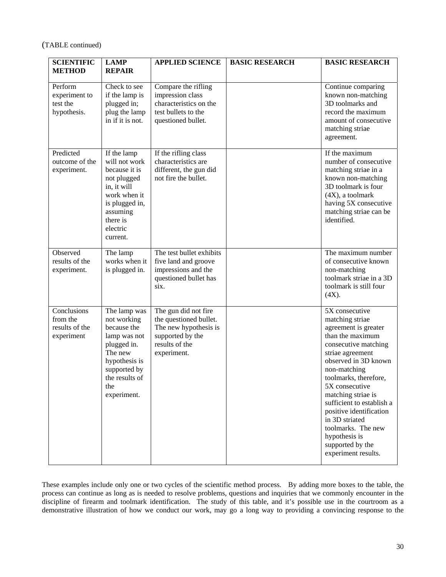(TABLE continued)

| <b>SCIENTIFIC</b>                                       | <b>LAMP</b>                                                                                                                                                   | <b>APPLIED SCIENCE</b>                                                                                                       | <b>BASIC RESEARCH</b> | <b>BASIC RESEARCH</b>                                                                                                                                                                                                                                                                                                                                                                          |
|---------------------------------------------------------|---------------------------------------------------------------------------------------------------------------------------------------------------------------|------------------------------------------------------------------------------------------------------------------------------|-----------------------|------------------------------------------------------------------------------------------------------------------------------------------------------------------------------------------------------------------------------------------------------------------------------------------------------------------------------------------------------------------------------------------------|
| <b>METHOD</b>                                           | <b>REPAIR</b>                                                                                                                                                 |                                                                                                                              |                       |                                                                                                                                                                                                                                                                                                                                                                                                |
| Perform<br>experiment to<br>test the<br>hypothesis.     | Check to see<br>if the lamp is<br>plugged in;<br>plug the lamp<br>in if it is not.                                                                            | Compare the rifling<br>impression class<br>characteristics on the<br>test bullets to the<br>questioned bullet.               |                       | Continue comparing<br>known non-matching<br>3D toolmarks and<br>record the maximum<br>amount of consecutive<br>matching striae<br>agreement.                                                                                                                                                                                                                                                   |
| Predicted<br>outcome of the<br>experiment.              | If the lamp<br>will not work<br>because it is<br>not plugged<br>in, it will<br>work when it<br>is plugged in,<br>assuming<br>there is<br>electric<br>current. | If the rifling class<br>characteristics are<br>different, the gun did<br>not fire the bullet.                                |                       | If the maximum<br>number of consecutive<br>matching striae in a<br>known non-matching<br>3D toolmark is four<br>$(4X)$ , a toolmark<br>having 5X consecutive<br>matching striae can be<br>identified.                                                                                                                                                                                          |
| Observed<br>results of the<br>experiment.               | The lamp<br>works when it<br>is plugged in.                                                                                                                   | The test bullet exhibits<br>five land and groove<br>impressions and the<br>questioned bullet has<br>six.                     |                       | The maximum number<br>of consecutive known<br>non-matching<br>toolmark striae in a 3D<br>toolmark is still four<br>$(4X)$ .                                                                                                                                                                                                                                                                    |
| Conclusions<br>from the<br>results of the<br>experiment | The lamp was<br>not working<br>because the<br>lamp was not<br>plugged in.<br>The new<br>hypothesis is<br>supported by<br>the results of<br>the<br>experiment. | The gun did not fire<br>the questioned bullet.<br>The new hypothesis is<br>supported by the<br>results of the<br>experiment. |                       | 5X consecutive<br>matching striae<br>agreement is greater<br>than the maximum<br>consecutive matching<br>striae agreement<br>observed in 3D known<br>non-matching<br>toolmarks, therefore,<br>5X consecutive<br>matching striae is<br>sufficient to establish a<br>positive identification<br>in 3D striated<br>toolmarks. The new<br>hypothesis is<br>supported by the<br>experiment results. |

These examples include only one or two cycles of the scientific method process. By adding more boxes to the table, the process can continue as long as is needed to resolve problems, questions and inquiries that we commonly encounter in the discipline of firearm and toolmark identification. The study of this table, and it's possible use in the courtroom as a demonstrative illustration of how we conduct our work, may go a long way to providing a convincing response to the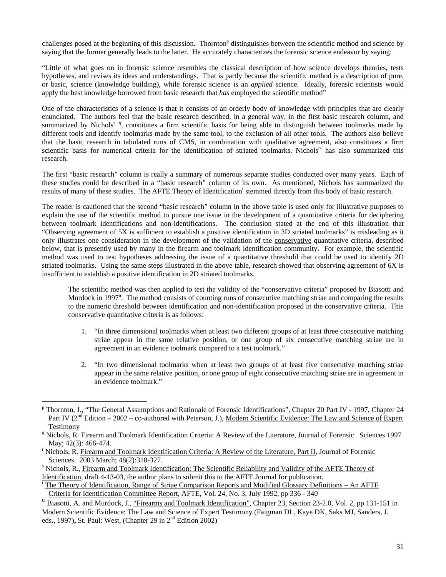challenges posed at the beginning of this discussion. Thornton<sup>p</sup> distinguishes between the scientific method and science by saying that the former generally leads to the latter. He accurately characterizes the forensic science endeavor by saying:

"Little of what goes on in forensic science resembles the classical description of how science develops theories, tests hypotheses, and revises its ideas and understandings. That is partly because the scientific method is a description of pure, or basic, science (knowledge building), while forensic science is an *applied* science. Ideally, forensic scientists would apply the best knowledge borrowed from basic research that *has* employed the scientific method"

One of the characteristics of a science is that it consists of an orderly body of knowledge with principles that are clearly enunciated. The authors feel that the basic research described, in a general way, in the first basic research column, and summarized by Nichols' <sup>q</sup>, constitutes a firm scientific basis for being able to distinguish between toolmarks made by different tools and identify toolmarks made by the same tool, to the exclusion of all other tools. The authors also believe that the basic research in tabulated runs of CMS, in combination with qualitative agreement, also constitutes a firm scientific basis for numerical criteria for the identification of striated toolmarks. Nichols<sup>rs</sup> has also summarized this research.

The first "basic research" column is really a summary of numerous separate studies conducted over many years. Each of these studies could be described in a "basic research" column of its own. As mentioned, Nichols has summarized the results of many of these studies. The AFTE Theory of Identification<sup>t</sup> stemmed directly from this body of basic research.

The reader is cautioned that the second "basic research" column in the above table is used only for illustrative purposes to explain the use of the scientific method to pursue one issue in the development of a quantitative criteria for deciphering between toolmark identifications and non-identifications. The conclusion stated at the end of this illustration that "Observing agreement of 5X is sufficient to establish a positive identification in 3D striated toolmarks" is misleading as it only illustrates one consideration in the development of the validation of the conservative quantitative criteria, described below, that is presently used by many in the firearm and toolmark identification community. For example, the scientific method was used to test hypotheses addressing the issue of a quantitative threshold that could be used to identify 2D striated toolmarks. Using the same steps illustrated in the above table, research showed that observing agreement of 6X is insufficient to establish a positive identification in 2D striated toolmarks.

The scientific method was then applied to test the validity of the "conservative criteria" proposed by Biasotti and Murdock in 1997<sup>u</sup>. The method consists of counting runs of consecutive matching striae and comparing the results to the numeric threshold between identification and non-identification proposed in the conservative criteria. This conservative quantitative criteria is as follows:

- 1. "In three dimensional toolmarks when at least two different groups of at least three consecutive matching striae appear in the same relative position, or one group of six consecutive matching striae are in agreement in an evidence toolmark compared to a test toolmark."
- 2. "In two dimensional toolmarks when at least two groups of at least five consecutive matching striae appear in the same relative position, or one group of eight consecutive matching striae are in agreement in an evidence toolmark."

 $\overline{a}$ 

<sup>&</sup>lt;sup>p</sup> Thornton, J., "The General Assumptions and Rationale of Forensic Identifications", Chapter 20 Part IV - 1997, Chapter 24 Part IV (2<sup>nd</sup> Edition – 2002 – co-authored with Peterson, J.), Modern Scientific Evidence: The Law and Science of Expert **Testimony** 

<sup>&</sup>lt;sup>q</sup> Nichols, R. Firearm and Toolmark Identification Criteria: A Review of the Literature, Journal of Forensic Sciences 1997 May; 42(3): 466-474.

<sup>&</sup>lt;sup>r</sup> Nichols, R. Firearm and Toolmark Identification Criteria: A Review of the Literature, Part II, Journal of Forensic Sciences. 2003 March; 48(2):318-327.

<sup>&</sup>lt;sup>s</sup> Nichols, R., Firearm and Toolmark Identification: The Scientific Reliability and Validity of the AFTE Theory of Identification, draft 4-13-03, the author plans to submit this to the AFTE Journal for publication.

The Theory of Identification, Range of Striae Comparison Reports and Modified Glossary Definitions – An AFTE

u Criteria for Identification Committee Report, AFTE, Vol. 24, No. 3, July 1992, pp 336 - 340<br>u Biasotti, A. and Murdock, J., "Firearms and Toolmark Identification", Chapter 23, Section 23-2.0, Vol. 2, pp 131-151 in Modern Scientific Evidence: The Law and Science of Expert Testimony (Faigman DL, Kaye DK, Saks MJ, Sanders, J. eds., 1997)**,** St. Paul: West, (Chapter 29 in 2nd Edition 2002)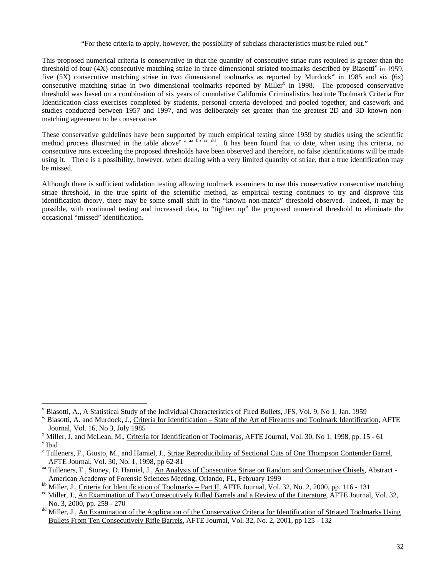"For these criteria to apply, however, the possibility of subclass characteristics must be ruled out."

This proposed numerical criteria is conservative in that the quantity of consecutive striae runs required is greater than the threshold of four  $(4X)$  consecutive matching striae in three dimensional striated toolmarks described by Biasotti<sup>v</sup> in 1959, five  $(5X)$  consecutive matching striae in two dimensional toolmarks as reported by Murdock<sup>w</sup> in 1985 and six  $(6x)$ consecutive matching striae in two dimensional toolmarks reported by Miller<sup>x</sup> in 1998. The proposed conservative threshold was based on a combination of six years of cumulative California Criminalistics Institute Toolmark Criteria For Identification class exercises completed by students, personal criteria developed and pooled together, and casework and studies conducted between 1957 and 1997, and was deliberately set greater than the greatest 2D and 3D known nonmatching agreement to be conservative.

These conservative guidelines have been supported by much empirical testing since 1959 by studies using the scientific method process illustrated in the table above<sup>y z aa bb cc dd</sup>. It has been found that to date, when using this criteria, no consecutive runs exceeding the proposed thresholds have been observed and therefore, no false identifications will be made using it. There is a possibility, however, when dealing with a very limited quantity of striae, that a true identification may be missed.

Although there is sufficient validation testing allowing toolmark examiners to use this conservative consecutive matching striae threshold, in the true spirit of the scientific method, as empirical testing continues to try and disprove this identification theory, there may be some small shift in the "known non-match" threshold observed. Indeed, it may be possible, with continued testing and increased data, to "tighten up" the proposed numerical threshold to eliminate the occasional "missed" identification.

 $\overline{a}$ 

<sup>&</sup>lt;sup>v</sup> Biasotti, A., A Statistical Study of the Individual Characteristics of Fired Bullets, JFS, Vol. 9, No 1, Jan. 1959

W Biasotti, A. and Murdock, J., Criteria for Identification – State of the Art of Firearms and Toolmark Identification, AFTE Journal, Vol. 16, No 3, July 1985 x

<sup>&</sup>lt;sup>x</sup> Miller, J. and McLean, M., Criteria for Identification of Toolmarks, AFTE Journal, Vol. 30, No 1, 1998, pp. 15 - 61 <sup>y</sup> Ibid

<sup>&</sup>lt;sup>z</sup> Tulleners, F., Giusto, M., and Hamiel, J., Striae Reproducibility of Sectional Cuts of One Thompson Contender Barrel, AFTE Journal, Vol. 30, No. 1, 1998, pp 62-81<br>aa Tulleners, F., Stoney, D. Hamiel, J., An Analysis of Consecutive Striae on Random and Consecutive Chisels, Abstract -

American Academy of Forensic Sciences Meeting, Orlando, FL, February 1999<br>bb Miller, J., Criteria for Identification of Toolmarks – Part II, AFTE Journal, Vol. 32, No. 2, 2000, pp. 116 - 131<br>cc Miller, J., An Examination o

No. 3, 2000, pp. 259 - 270<br>dd Miller, J., An Examination of the Application of the Conservative Criteria for Identification of Striated Toolmarks Using Bullets From Ten Consecutively Rifle Barrels, AFTE Journal, Vol. 32, No. 2, 2001, pp 125 - 132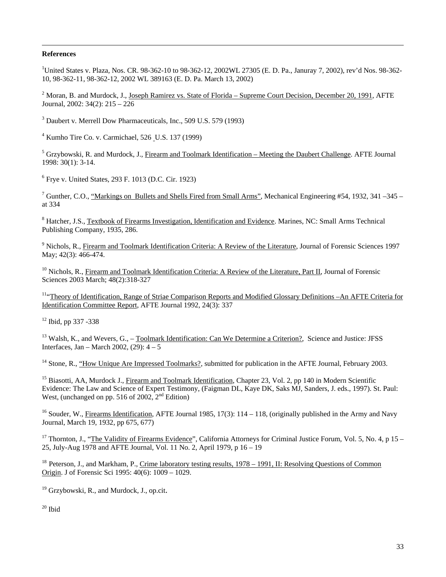## **References**

 $\overline{a}$ 

<sup>1</sup>United States v. Plaza, Nos. CR. 98-362-10 to 98-362-12, 2002WL 27305 (E. D. Pa., Januray 7, 2002), rev'd Nos. 98-362-10, 98-362-11, 98-362-12, 2002 WL 389163 (E. D. Pa. March 13, 2002)

<sup>2</sup> Moran, B. and Murdock, J., *Joseph Ramirez vs. State of Florida – Supreme Court Decision, December 20, 1991, AFTE* Journal, 2002: 34(2): 215 – 226

<sup>3</sup> Daubert v. Merrell Dow Pharmaceuticals, Inc., 509 U.S. 579 (1993)

4 Kumho Tire Co. v. Carmichael, 526 U.S. 137 (1999)

<sup>5</sup> Grzybowski, R. and Murdock, J., Firearm and Toolmark Identification – Meeting the Daubert Challenge. AFTE Journal 1998: 30(1): 3-14.

6 Frye v. United States, 293 F. 1013 (D.C. Cir. 1923)

<sup>7</sup> Gunther, C.O., <u>"Markings on Bullets and Shells Fired from Small Arms"</u>, Mechanical Engineering #54, 1932, 341 –345 – at 334

<sup>8</sup> Hatcher, J.S., Textbook of Firearms Investigation, Identification and Evidence. Marines, NC: Small Arms Technical Publishing Company, 1935, 286.

<sup>9</sup> Nichols, R., Firearm and Toolmark Identification Criteria: A Review of the Literature, Journal of Forensic Sciences 1997 May; 42(3): 466-474.

<sup>10</sup> Nichols, R., Firearm and Toolmark Identification Criteria: A Review of the Literature, Part II, Journal of Forensic Sciences 2003 March; 48(2):318-327

<sup>11"</sup>Theory of Identification, Range of Striae Comparison Reports and Modified Glossary Definitions –An AFTE Criteria for Identification Committee Report, AFTE Journal 1992, 24(3): 337

12 Ibid, pp 337 -338

<sup>13</sup> Walsh, K., and Wevers, G., – Toolmark Identification: Can We Determine a Criterion?, Science and Justice: JFSS Interfaces, Jan – March 2002,  $(29)$ :  $4 - 5$ 

<sup>14</sup> Stone, R., "How Unique Are Impressed Toolmarks?, submitted for publication in the AFTE Journal, February 2003.

<sup>15</sup> Biasotti, AA, Murdock J., Firearm and Toolmark Identification, Chapter 23, Vol. 2, pp 140 in Modern Scientific Evidence: The Law and Science of Expert Testimony, (Faigman DL, Kaye DK, Saks MJ, Sanders, J. eds., 1997). St. Paul: West, (unchanged on pp. 516 of 2002,  $2<sup>nd</sup>$  Edition)

<sup>16</sup> Souder, W., Firearms Identification, AFTE Journal 1985, 17(3):  $114 - 118$ , (originally published in the Army and Navy Journal, March 19, 1932, pp 675, 677)

<sup>17</sup> Thornton, J., "The Validity of Firearms Evidence", California Attorneys for Criminal Justice Forum, Vol. 5, No. 4, p 15 – 25, July-Aug 1978 and AFTE Journal, Vol. 11 No. 2, April 1979, p 16 – 19

<sup>18</sup> Peterson, J., and Markham, P., Crime laboratory testing results, 1978 – 1991, II: Resolving Questions of Common Origin. J of Forensic Sci 1995: 40(6): 1009 – 1029.

 $19$  Grzybowski, R., and Murdock, J., op.cit.

 $^{\rm 20}$  Ibid